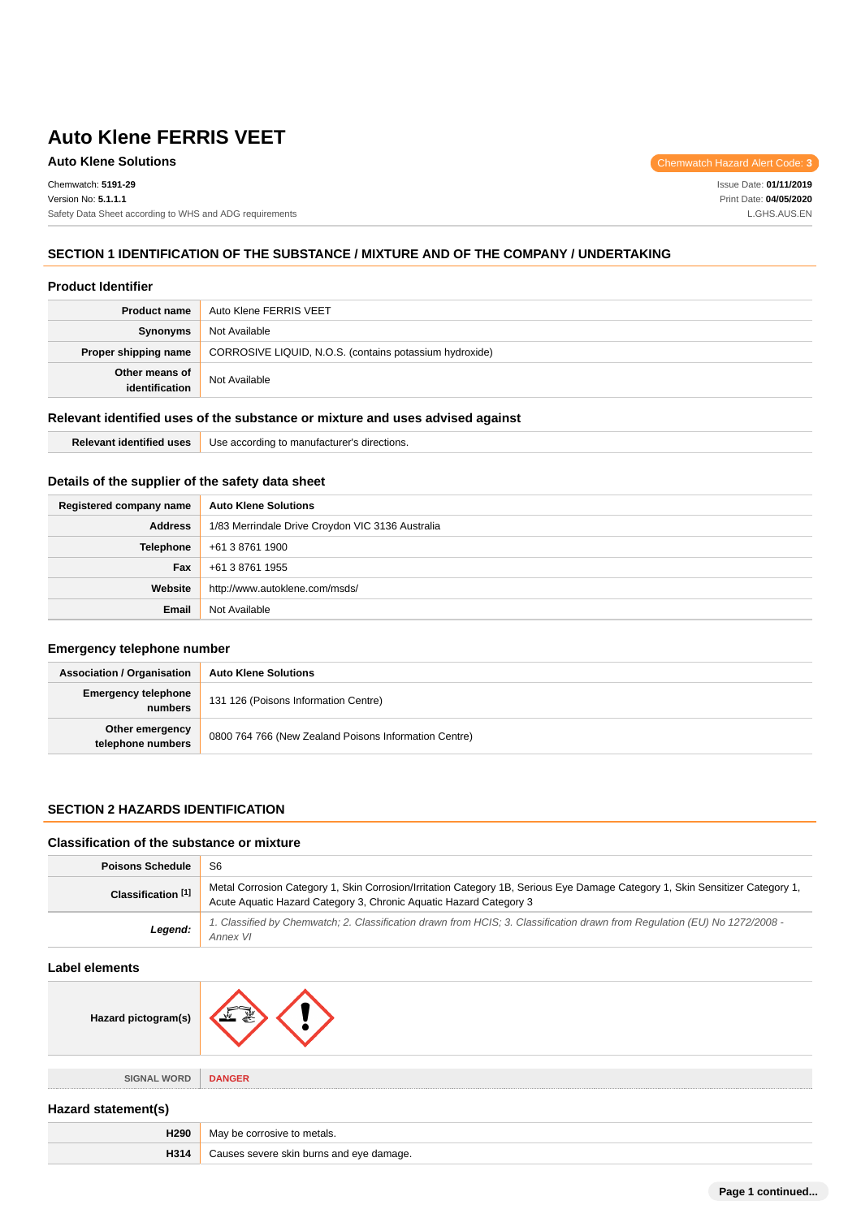**Auto Klene Solutions** Chemwatch Hazard Alert Code: 3 Chemwatch: **5191-29** Version No: **5.1.1.1** Safety Data Sheet according to WHS and ADG requirements Issue Date: **01/11/2019** Print Date: **04/05/2020** L.GHS.AUS.EN

# **SECTION 1 IDENTIFICATION OF THE SUBSTANCE / MIXTURE AND OF THE COMPANY / UNDERTAKING**

# **Product Identifier**

| <b>Product name</b>              | Auto Klene FERRIS VEET                                  |  |
|----------------------------------|---------------------------------------------------------|--|
| Synonyms                         | Not Available                                           |  |
| Proper shipping name             | CORROSIVE LIQUID, N.O.S. (contains potassium hydroxide) |  |
| Other means of<br>identification | Not Available                                           |  |

# **Relevant identified uses of the substance or mixture and uses advised against**

| Relevant identified uses | Use according to manufacturer's directions. |
|--------------------------|---------------------------------------------|
|--------------------------|---------------------------------------------|

# **Details of the supplier of the safety data sheet**

| Registered company name | <b>Auto Klene Solutions</b>                      |  |
|-------------------------|--------------------------------------------------|--|
| <b>Address</b>          | 1/83 Merrindale Drive Croydon VIC 3136 Australia |  |
| Telephone               | +61 3 8761 1900                                  |  |
| Fax                     | +61 3 8761 1955                                  |  |
| Website                 | http://www.autoklene.com/msds/                   |  |
| <b>Email</b>            | Not Available                                    |  |

# **Emergency telephone number**

| <b>Association / Organisation</b>    | <b>Auto Klene Solutions</b>                           |  |
|--------------------------------------|-------------------------------------------------------|--|
| Emergency telephone<br>numbers       | 131 126 (Poisons Information Centre)                  |  |
| Other emergency<br>telephone numbers | 0800 764 766 (New Zealand Poisons Information Centre) |  |

# **SECTION 2 HAZARDS IDENTIFICATION**

# **Classification of the substance or mixture**

| <b>Poisons Schedule</b>       | S6                                                                                                                                                                                                  |  |
|-------------------------------|-----------------------------------------------------------------------------------------------------------------------------------------------------------------------------------------------------|--|
| Classification <sup>[1]</sup> | Metal Corrosion Category 1, Skin Corrosion/Irritation Category 1B, Serious Eye Damage Category 1, Skin Sensitizer Category 1,<br>Acute Aquatic Hazard Category 3, Chronic Aquatic Hazard Category 3 |  |
| Legend:                       | 1. Classified by Chemwatch; 2. Classification drawn from HCIS; 3. Classification drawn from Regulation (EU) No 1272/2008 -<br>Annex VI                                                              |  |

### **Label elements**

| Hazard pictogram(s) |  |
|---------------------|--|
|                     |  |

**SIGNAL WORD DANGER**

# **Hazard statement(s)**

| H290 | May be corrosive to metals.              |  |
|------|------------------------------------------|--|
| H314 | Causes severe skin burns and eye damage. |  |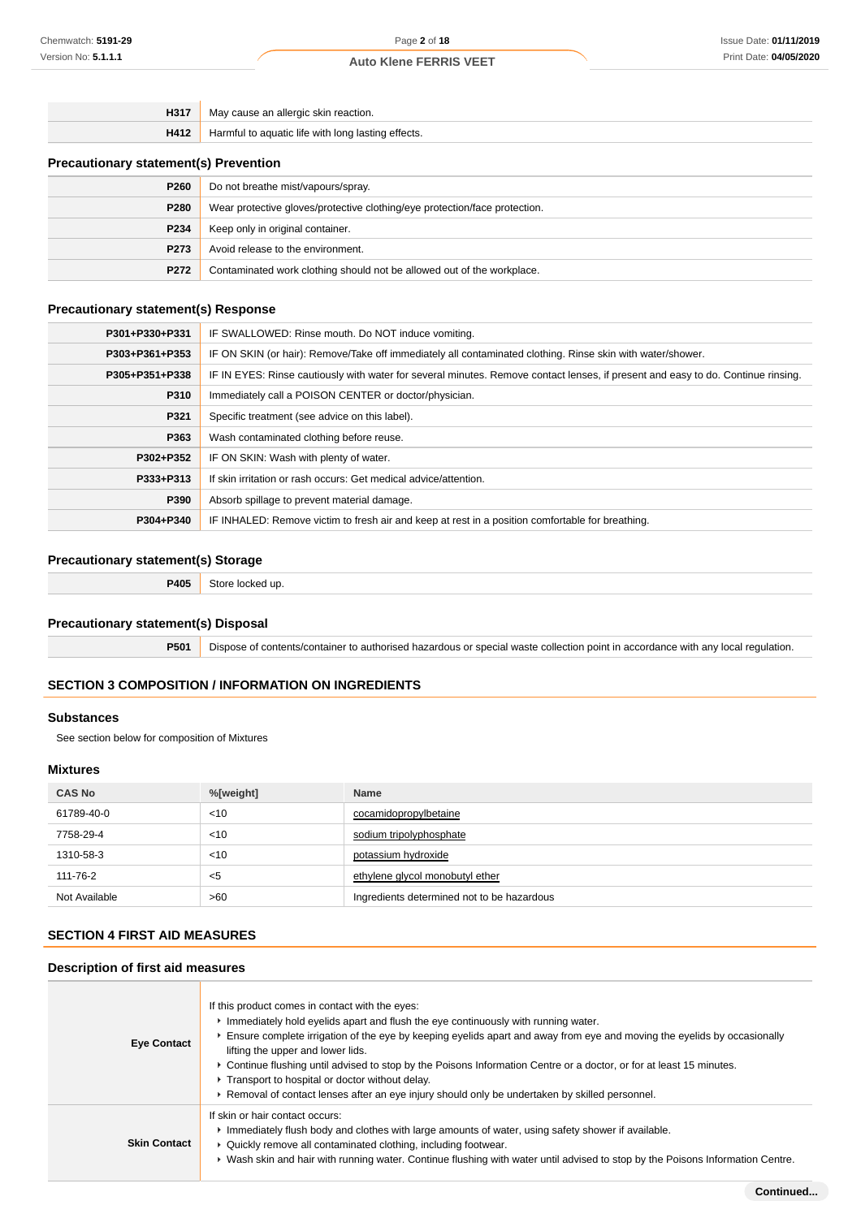|  |  | <b>Auto Klene FERRIS VEET</b> |  |
|--|--|-------------------------------|--|
|--|--|-------------------------------|--|

| H317 | May cause an allergic skin reaction.               |  |
|------|----------------------------------------------------|--|
| H412 | Harmful to aquatic life with long lasting effects. |  |

# **Precautionary statement(s) Prevention**

| P260             | Do not breathe mist/vapours/spray.                                         |  |
|------------------|----------------------------------------------------------------------------|--|
| P280             | Wear protective gloves/protective clothing/eye protection/face protection. |  |
| P <sub>234</sub> | Keep only in original container.                                           |  |
| P273             | Avoid release to the environment.                                          |  |
| P272             | Contaminated work clothing should not be allowed out of the workplace.     |  |

# **Precautionary statement(s) Response**

| P301+P330+P331 | IF SWALLOWED: Rinse mouth. Do NOT induce vomiting.                                                                               |  |  |
|----------------|----------------------------------------------------------------------------------------------------------------------------------|--|--|
| P303+P361+P353 | IF ON SKIN (or hair): Remove/Take off immediately all contaminated clothing. Rinse skin with water/shower.                       |  |  |
| P305+P351+P338 | IF IN EYES: Rinse cautiously with water for several minutes. Remove contact lenses, if present and easy to do. Continue rinsing. |  |  |
| P310           | Immediately call a POISON CENTER or doctor/physician.                                                                            |  |  |
| P321           | Specific treatment (see advice on this label).                                                                                   |  |  |
| P363           | Wash contaminated clothing before reuse.                                                                                         |  |  |
| P302+P352      | IF ON SKIN: Wash with plenty of water.                                                                                           |  |  |
| P333+P313      | If skin irritation or rash occurs: Get medical advice/attention.                                                                 |  |  |
| P390           | Absorb spillage to prevent material damage.                                                                                      |  |  |
| P304+P340      | IF INHALED: Remove victim to fresh air and keep at rest in a position comfortable for breathing.                                 |  |  |

# **Precautionary statement(s) Storage**

**P405** Store locked up.

# **Precautionary statement(s) Disposal**

**P501** Dispose of contents/container to authorised hazardous or special waste collection point in accordance with any local regulation.

# **SECTION 3 COMPOSITION / INFORMATION ON INGREDIENTS**

### **Substances**

See section below for composition of Mixtures

# **Mixtures**

| <b>CAS No</b> | %[weight] | <b>Name</b>                                |
|---------------|-----------|--------------------------------------------|
| 61789-40-0    | $<$ 10    | cocamidopropylbetaine                      |
| 7758-29-4     | $<$ 10    | sodium tripolyphosphate                    |
| 1310-58-3     | $<$ 10    | potassium hydroxide                        |
| 111-76-2      | $<$ 5     | ethylene glycol monobutyl ether            |
| Not Available | >60       | Ingredients determined not to be hazardous |

# **SECTION 4 FIRST AID MEASURES**

### **Description of first aid measures**

| <b>Eye Contact</b>  | If this product comes in contact with the eyes:<br>Inmediately hold eyelids apart and flush the eye continuously with running water.<br>Ensure complete irrigation of the eye by keeping eyelids apart and away from eye and moving the eyelids by occasionally<br>lifting the upper and lower lids.<br>► Continue flushing until advised to stop by the Poisons Information Centre or a doctor, or for at least 15 minutes.<br>Transport to hospital or doctor without delay.<br>▶ Removal of contact lenses after an eye injury should only be undertaken by skilled personnel. |
|---------------------|-----------------------------------------------------------------------------------------------------------------------------------------------------------------------------------------------------------------------------------------------------------------------------------------------------------------------------------------------------------------------------------------------------------------------------------------------------------------------------------------------------------------------------------------------------------------------------------|
| <b>Skin Contact</b> | If skin or hair contact occurs:<br>Immediately flush body and clothes with large amounts of water, using safety shower if available.<br>▶ Quickly remove all contaminated clothing, including footwear.<br>▶ Wash skin and hair with running water. Continue flushing with water until advised to stop by the Poisons Information Centre.                                                                                                                                                                                                                                         |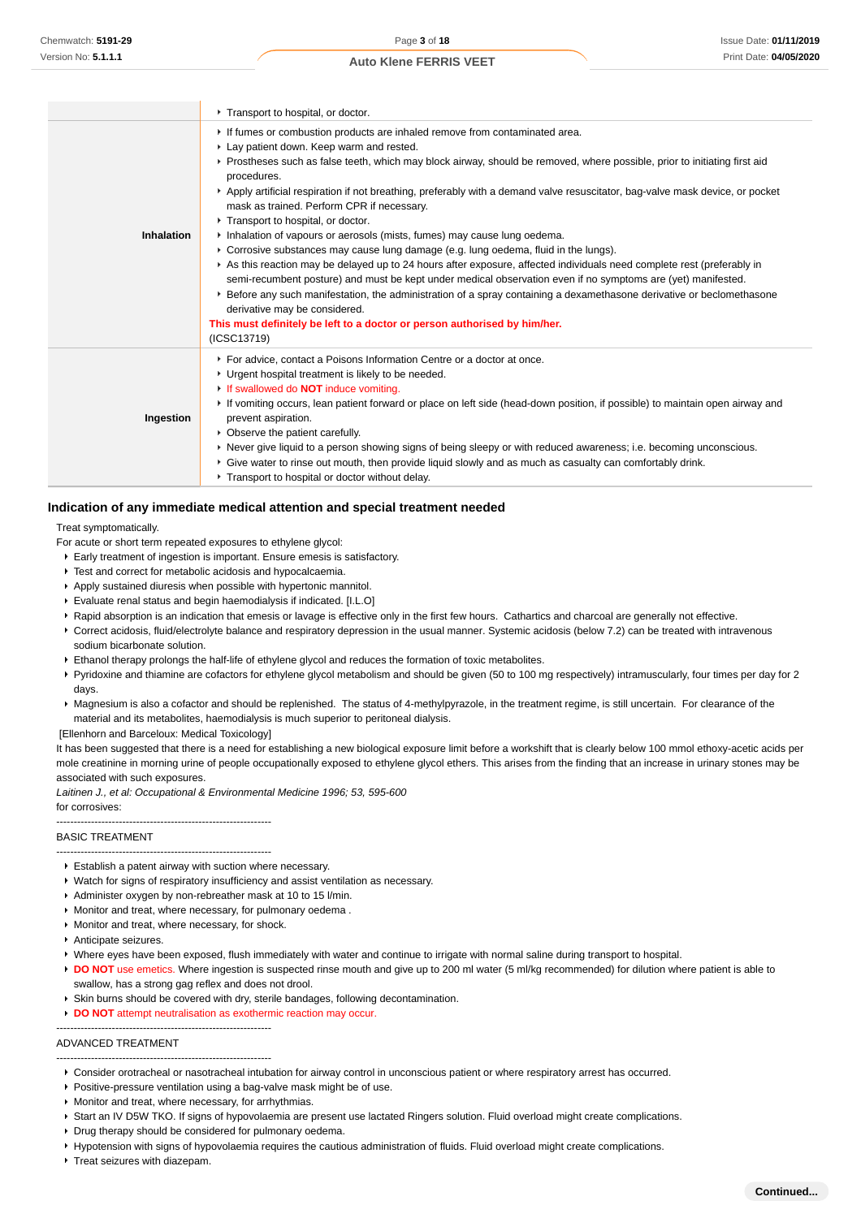|                   | Transport to hospital, or doctor.                                                                                                                                                                                                                                                                                                                                                                                                                                                                                                                                                                                                                                                                                                                                                                                                                                                                                                                                                                                                                                                                                                                             |
|-------------------|---------------------------------------------------------------------------------------------------------------------------------------------------------------------------------------------------------------------------------------------------------------------------------------------------------------------------------------------------------------------------------------------------------------------------------------------------------------------------------------------------------------------------------------------------------------------------------------------------------------------------------------------------------------------------------------------------------------------------------------------------------------------------------------------------------------------------------------------------------------------------------------------------------------------------------------------------------------------------------------------------------------------------------------------------------------------------------------------------------------------------------------------------------------|
| <b>Inhalation</b> | If fumes or combustion products are inhaled remove from contaminated area.<br>Lay patient down. Keep warm and rested.<br>▶ Prostheses such as false teeth, which may block airway, should be removed, where possible, prior to initiating first aid<br>procedures.<br>Apply artificial respiration if not breathing, preferably with a demand valve resuscitator, bag-valve mask device, or pocket<br>mask as trained. Perform CPR if necessary.<br>Transport to hospital, or doctor.<br>Inhalation of vapours or aerosols (mists, fumes) may cause lung oedema.<br>▶ Corrosive substances may cause lung damage (e.g. lung oedema, fluid in the lungs).<br>As this reaction may be delayed up to 24 hours after exposure, affected individuals need complete rest (preferably in<br>semi-recumbent posture) and must be kept under medical observation even if no symptoms are (yet) manifested.<br>Exercise the same such manifestation, the administration of a spray containing a dexamethasone derivative or beclomethasone<br>derivative may be considered.<br>This must definitely be left to a doctor or person authorised by him/her.<br>(ICSC13719) |
| Ingestion         | For advice, contact a Poisons Information Centre or a doctor at once.<br>• Urgent hospital treatment is likely to be needed.<br>If swallowed do <b>NOT</b> induce vomiting.<br>If vomiting occurs, lean patient forward or place on left side (head-down position, if possible) to maintain open airway and<br>prevent aspiration.<br>• Observe the patient carefully.<br>► Never give liquid to a person showing signs of being sleepy or with reduced awareness; i.e. becoming unconscious.<br>► Give water to rinse out mouth, then provide liquid slowly and as much as casualty can comfortably drink.<br>Transport to hospital or doctor without delay.                                                                                                                                                                                                                                                                                                                                                                                                                                                                                                 |

### **Indication of any immediate medical attention and special treatment needed**

### Treat symptomatically.

- For acute or short term repeated exposures to ethylene glycol:
	- Early treatment of ingestion is important. Ensure emesis is satisfactory.
	- Test and correct for metabolic acidosis and hypocalcaemia.
	- Apply sustained diuresis when possible with hypertonic mannitol.
	- Evaluate renal status and begin haemodialysis if indicated. [I.L.O]
	- ▶ Rapid absorption is an indication that emesis or lavage is effective only in the first few hours. Cathartics and charcoal are generally not effective.
	- Correct acidosis, fluid/electrolyte balance and respiratory depression in the usual manner. Systemic acidosis (below 7.2) can be treated with intravenous sodium bicarbonate solution.
	- Ethanol therapy prolongs the half-life of ethylene glycol and reduces the formation of toxic metabolites.
	- Pyridoxine and thiamine are cofactors for ethylene glycol metabolism and should be given (50 to 100 mg respectively) intramuscularly, four times per day for 2 days.
- Magnesium is also a cofactor and should be replenished. The status of 4-methylpyrazole, in the treatment regime, is still uncertain. For clearance of the material and its metabolites, haemodialysis is much superior to peritoneal dialysis.

[Ellenhorn and Barceloux: Medical Toxicology]

It has been suggested that there is a need for establishing a new biological exposure limit before a workshift that is clearly below 100 mmol ethoxy-acetic acids per mole creatinine in morning urine of people occupationally exposed to ethylene glycol ethers. This arises from the finding that an increase in urinary stones may be associated with such exposures.

| Laitinen J., et al: Occupational & Environmental Medicine 1996; 53, 595-600 |  |  |
|-----------------------------------------------------------------------------|--|--|
| for corrosives:                                                             |  |  |

### -------------------------------------------------------------- BASIC TREATMENT

--------------------------------------------------------------

- Establish a patent airway with suction where necessary.
- Watch for signs of respiratory insufficiency and assist ventilation as necessary.
- Administer oxygen by non-rebreather mask at 10 to 15 l/min.
- Monitor and treat, where necessary, for pulmonary oedema .
- Monitor and treat, where necessary, for shock.
- Anticipate seizures.
- Where eyes have been exposed, flush immediately with water and continue to irrigate with normal saline during transport to hospital.
- **DO NOT** use emetics. Where ingestion is suspected rinse mouth and give up to 200 ml water (5 ml/kg recommended) for dilution where patient is able to swallow, has a strong gag reflex and does not drool.
- Skin burns should be covered with dry, sterile bandages, following decontamination.

**DO NOT** attempt neutralisation as exothermic reaction may occur.

#### ADVANCED TREATMENT

--------------------------------------------------------------

--------------------------------------------------------------

- Consider orotracheal or nasotracheal intubation for airway control in unconscious patient or where respiratory arrest has occurred.
- **Positive-pressure ventilation using a bag-valve mask might be of use.**
- **Monitor and treat, where necessary, for arrhythmias.**
- ▶ Start an IV D5W TKO. If signs of hypovolaemia are present use lactated Ringers solution. Fluid overload might create complications.
- Drug therapy should be considered for pulmonary oedema.
- Hypotension with signs of hypovolaemia requires the cautious administration of fluids. Fluid overload might create complications.
- Treat seizures with diazepam.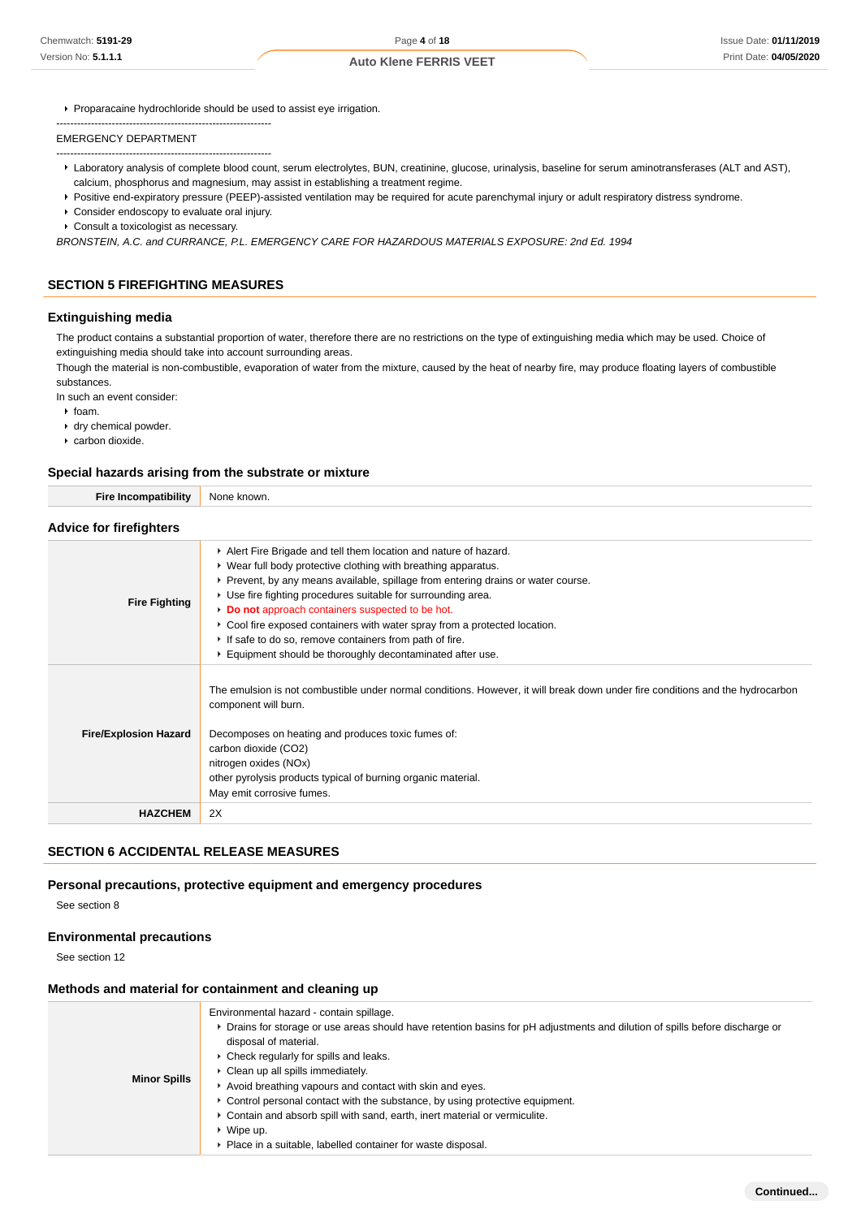Proparacaine hydrochloride should be used to assist eye irrigation.

### EMERGENCY DEPARTMENT

--------------------------------------------------------------

- Laboratory analysis of complete blood count, serum electrolytes, BUN, creatinine, glucose, urinalysis, baseline for serum aminotransferases (ALT and AST), calcium, phosphorus and magnesium, may assist in establishing a treatment regime.
- Positive end-expiratory pressure (PEEP)-assisted ventilation may be required for acute parenchymal injury or adult respiratory distress syndrome.
- Consider endoscopy to evaluate oral injury.
- Consult a toxicologist as necessary.

BRONSTEIN, A.C. and CURRANCE, P.L. EMERGENCY CARE FOR HAZARDOUS MATERIALS EXPOSURE: 2nd Ed. 1994

### **SECTION 5 FIREFIGHTING MEASURES**

### **Extinguishing media**

The product contains a substantial proportion of water, therefore there are no restrictions on the type of extinguishing media which may be used. Choice of extinguishing media should take into account surrounding areas.

Though the material is non-combustible, evaporation of water from the mixture, caused by the heat of nearby fire, may produce floating layers of combustible substances.

In such an event consider:

- $\epsilon$  foam.
- dry chemical powder.
- carbon dioxide.

### **Special hazards arising from the substrate or mixture**

| <b>Fire Incompatibility</b>    | None known.                                                                                                                                                                                                                                                                                                                                                                                                                                                                                                                                    |
|--------------------------------|------------------------------------------------------------------------------------------------------------------------------------------------------------------------------------------------------------------------------------------------------------------------------------------------------------------------------------------------------------------------------------------------------------------------------------------------------------------------------------------------------------------------------------------------|
| <b>Advice for firefighters</b> |                                                                                                                                                                                                                                                                                                                                                                                                                                                                                                                                                |
| <b>Fire Fighting</b>           | Alert Fire Brigade and tell them location and nature of hazard.<br>▶ Wear full body protective clothing with breathing apparatus.<br>► Prevent, by any means available, spillage from entering drains or water course.<br>▶ Use fire fighting procedures suitable for surrounding area.<br>Do not approach containers suspected to be hot.<br>• Cool fire exposed containers with water spray from a protected location.<br>If safe to do so, remove containers from path of fire.<br>Equipment should be thoroughly decontaminated after use. |
| <b>Fire/Explosion Hazard</b>   | The emulsion is not combustible under normal conditions. However, it will break down under fire conditions and the hydrocarbon<br>component will burn.<br>Decomposes on heating and produces toxic fumes of:<br>carbon dioxide (CO2)<br>nitrogen oxides (NOx)<br>other pyrolysis products typical of burning organic material.<br>May emit corrosive fumes.                                                                                                                                                                                    |
| <b>HAZCHEM</b>                 | 2X                                                                                                                                                                                                                                                                                                                                                                                                                                                                                                                                             |

### **SECTION 6 ACCIDENTAL RELEASE MEASURES**

### **Personal precautions, protective equipment and emergency procedures**

See section 8

### **Environmental precautions**

See section 12

### **Methods and material for containment and cleaning up**

| <b>Minor Spills</b> | Environmental hazard - contain spillage.<br>▶ Drains for storage or use areas should have retention basins for pH adjustments and dilution of spills before discharge or<br>disposal of material.<br>• Check regularly for spills and leaks.<br>• Clean up all spills immediately.<br>Avoid breathing vapours and contact with skin and eyes.<br>► Control personal contact with the substance, by using protective equipment.<br>► Contain and absorb spill with sand, earth, inert material or vermiculite.<br>$\cdot$ Wipe up.<br>• Place in a suitable, labelled container for waste disposal. |
|---------------------|----------------------------------------------------------------------------------------------------------------------------------------------------------------------------------------------------------------------------------------------------------------------------------------------------------------------------------------------------------------------------------------------------------------------------------------------------------------------------------------------------------------------------------------------------------------------------------------------------|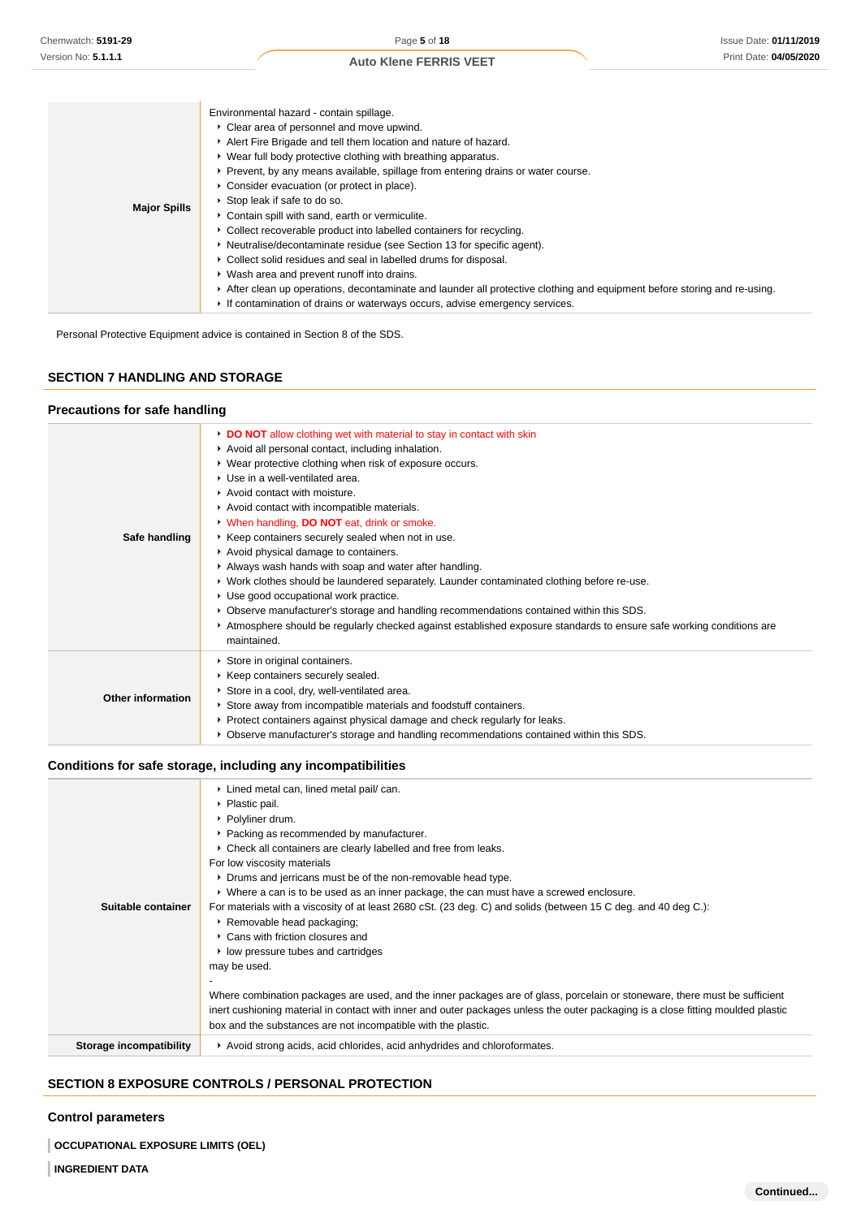|                     | Environmental hazard - contain spillage.                                                                                |
|---------------------|-------------------------------------------------------------------------------------------------------------------------|
|                     | • Clear area of personnel and move upwind.                                                                              |
|                     | Alert Fire Brigade and tell them location and nature of hazard.                                                         |
|                     | ▶ Wear full body protective clothing with breathing apparatus.                                                          |
|                     | ► Prevent, by any means available, spillage from entering drains or water course.                                       |
|                     | • Consider evacuation (or protect in place).                                                                            |
|                     | ▶ Stop leak if safe to do so.                                                                                           |
| <b>Major Spills</b> | • Contain spill with sand, earth or vermiculite.                                                                        |
|                     | • Collect recoverable product into labelled containers for recycling.                                                   |
|                     | • Neutralise/decontaminate residue (see Section 13 for specific agent).                                                 |
|                     | • Collect solid residues and seal in labelled drums for disposal.                                                       |
|                     | ▶ Wash area and prevent runoff into drains.                                                                             |
|                     | After clean up operations, decontaminate and launder all protective clothing and equipment before storing and re-using. |
|                     | If contamination of drains or waterways occurs, advise emergency services.                                              |
|                     |                                                                                                                         |

Personal Protective Equipment advice is contained in Section 8 of the SDS.

# **SECTION 7 HANDLING AND STORAGE**

# **Precautions for safe handling**

| Safe handling            | DO NOT allow clothing wet with material to stay in contact with skin<br>Avoid all personal contact, including inhalation.<br>▶ Wear protective clothing when risk of exposure occurs.<br>▶ Use in a well-ventilated area.<br>Avoid contact with moisture.<br>Avoid contact with incompatible materials.<br>V When handling, DO NOT eat, drink or smoke.<br>▶ Keep containers securely sealed when not in use.<br>Avoid physical damage to containers.<br>Always wash hands with soap and water after handling.<br>► Work clothes should be laundered separately. Launder contaminated clothing before re-use.<br>Use good occupational work practice.<br>▶ Observe manufacturer's storage and handling recommendations contained within this SDS.<br>Atmosphere should be regularly checked against established exposure standards to ensure safe working conditions are<br>maintained. |
|--------------------------|-----------------------------------------------------------------------------------------------------------------------------------------------------------------------------------------------------------------------------------------------------------------------------------------------------------------------------------------------------------------------------------------------------------------------------------------------------------------------------------------------------------------------------------------------------------------------------------------------------------------------------------------------------------------------------------------------------------------------------------------------------------------------------------------------------------------------------------------------------------------------------------------|
| <b>Other information</b> | Store in original containers.<br>▶ Keep containers securely sealed.<br>Store in a cool, dry, well-ventilated area.<br>Store away from incompatible materials and foodstuff containers.<br>► Protect containers against physical damage and check regularly for leaks.<br>▶ Observe manufacturer's storage and handling recommendations contained within this SDS.                                                                                                                                                                                                                                                                                                                                                                                                                                                                                                                       |

# **Conditions for safe storage, including any incompatibilities**

|                         | Lined metal can, lined metal pail/ can.                                                                                          |  |  |  |  |
|-------------------------|----------------------------------------------------------------------------------------------------------------------------------|--|--|--|--|
|                         | • Plastic pail.                                                                                                                  |  |  |  |  |
|                         | ▶ Polyliner drum.                                                                                                                |  |  |  |  |
|                         | • Packing as recommended by manufacturer.                                                                                        |  |  |  |  |
|                         | ▶ Check all containers are clearly labelled and free from leaks.                                                                 |  |  |  |  |
|                         | For low viscosity materials                                                                                                      |  |  |  |  |
|                         | • Drums and jerricans must be of the non-removable head type.                                                                    |  |  |  |  |
|                         | ▶ Where a can is to be used as an inner package, the can must have a screwed enclosure.                                          |  |  |  |  |
| Suitable container      | For materials with a viscosity of at least 2680 cSt. (23 deg. C) and solids (between 15 C deg. and 40 deg C.):                   |  |  |  |  |
|                         | ▶ Removable head packaging;                                                                                                      |  |  |  |  |
|                         | ▶ Cans with friction closures and                                                                                                |  |  |  |  |
|                         | • low pressure tubes and cartridges                                                                                              |  |  |  |  |
|                         | may be used.                                                                                                                     |  |  |  |  |
|                         |                                                                                                                                  |  |  |  |  |
|                         | Where combination packages are used, and the inner packages are of glass, porcelain or stoneware, there must be sufficient       |  |  |  |  |
|                         | inert cushioning material in contact with inner and outer packages unless the outer packaging is a close fitting moulded plastic |  |  |  |  |
|                         | box and the substances are not incompatible with the plastic.                                                                    |  |  |  |  |
| Storage incompatibility | Avoid strong acids, acid chlorides, acid anhydrides and chloroformates.                                                          |  |  |  |  |

# **SECTION 8 EXPOSURE CONTROLS / PERSONAL PROTECTION**

# **Control parameters**

**OCCUPATIONAL EXPOSURE LIMITS (OEL)**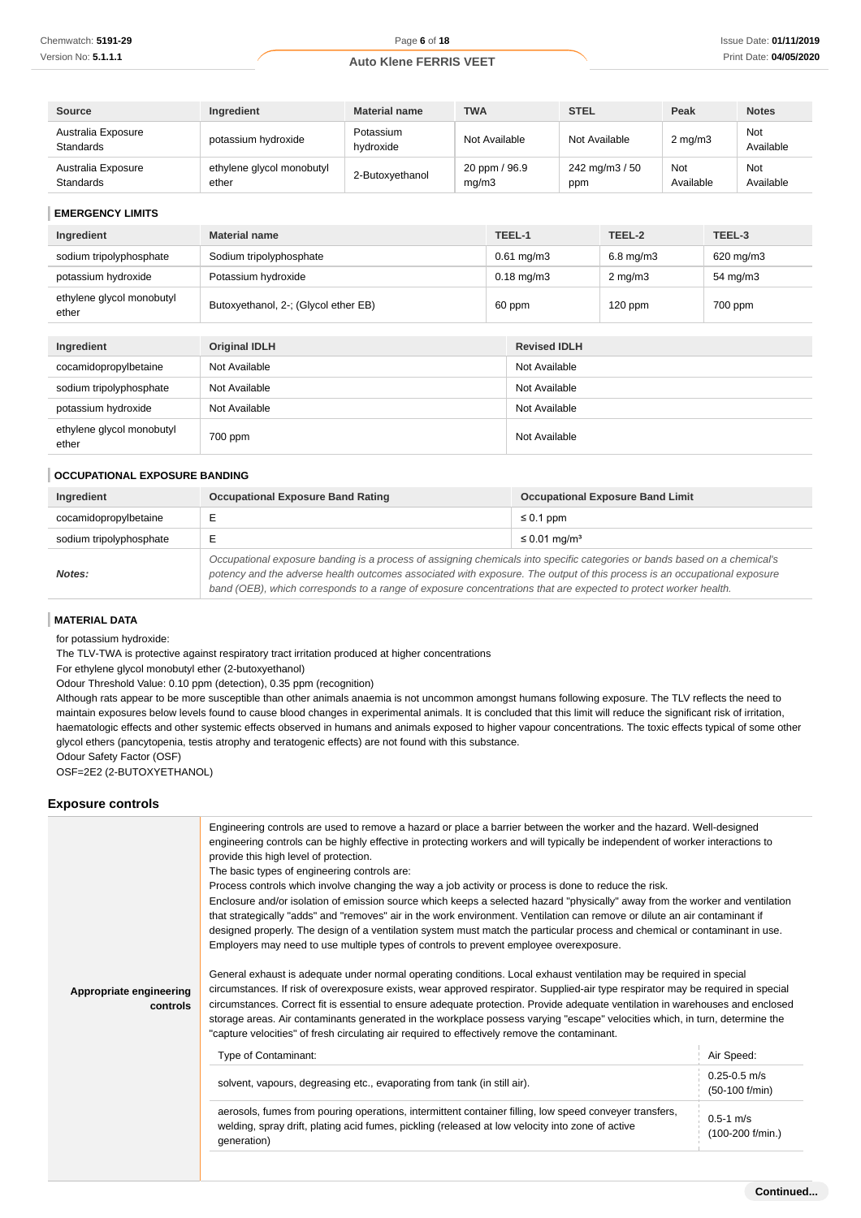| Source                                 | Ingredient                         | <b>Material name</b>   | <b>TWA</b>             | <b>STEL</b>           | Peak             | <b>Notes</b>     |
|----------------------------------------|------------------------------------|------------------------|------------------------|-----------------------|------------------|------------------|
| Australia Exposure<br><b>Standards</b> | potassium hydroxide                | Potassium<br>hydroxide | Not Available          | Not Available         | $2$ mg/m $3$     | Not<br>Available |
| Australia Exposure<br><b>Standards</b> | ethylene glycol monobutyl<br>ether | 2-Butoxyethanol        | 20 ppm / 96.9<br>mg/m3 | 242 mg/m3 / 50<br>ppm | Not<br>Available | Not<br>Available |

### **EMERGENCY LIMITS**

| Ingredient                         | <b>Material name</b>                 |                 | TEEL-1              | TEEL-2         | TEEL-3    |
|------------------------------------|--------------------------------------|-----------------|---------------------|----------------|-----------|
| sodium tripolyphosphate            | Sodium tripolyphosphate              |                 | $0.61$ mg/m $3$     | $6.8$ mg/m $3$ | 620 mg/m3 |
| potassium hydroxide                | Potassium hydroxide                  | $0.18$ mg/m $3$ |                     | $2$ mg/m $3$   | 54 mg/m3  |
| ethylene glycol monobutyl<br>ether | Butoxyethanol, 2-; (Glycol ether EB) | 60 ppm          |                     | $120$ ppm      | 700 ppm   |
|                                    |                                      |                 |                     |                |           |
| Ingredient                         | <b>Original IDLH</b>                 |                 | <b>Revised IDLH</b> |                |           |
| cocamidopropylbetaine              | Not Available                        |                 | Not Available       |                |           |
| sodium tripolyphosphate            | Not Available                        |                 | Not Available       |                |           |
| potassium hydroxide                | Not Available                        |                 | Not Available       |                |           |
| ethylene glycol monobutyl<br>ether | 700 ppm                              | Not Available   |                     |                |           |

### **OCCUPATIONAL EXPOSURE BANDING**

| Ingredient              | <b>Occupational Exposure Band Rating</b><br><b>Occupational Exposure Band Limit</b>                                                                                                                                                                                                                                                                                      |                               |
|-------------------------|--------------------------------------------------------------------------------------------------------------------------------------------------------------------------------------------------------------------------------------------------------------------------------------------------------------------------------------------------------------------------|-------------------------------|
| cocamidopropylbetaine   |                                                                                                                                                                                                                                                                                                                                                                          | $\leq$ 0.1 ppm                |
| sodium tripolyphosphate |                                                                                                                                                                                                                                                                                                                                                                          | $\leq$ 0.01 mg/m <sup>3</sup> |
| Notes:                  | Occupational exposure banding is a process of assigning chemicals into specific categories or bands based on a chemical's<br>potency and the adverse health outcomes associated with exposure. The output of this process is an occupational exposure<br>band (OEB), which corresponds to a range of exposure concentrations that are expected to protect worker health. |                               |

### **MATERIAL DATA**

for potassium hydroxide:

The TLV-TWA is protective against respiratory tract irritation produced at higher concentrations

For ethylene glycol monobutyl ether (2-butoxyethanol)

Odour Threshold Value: 0.10 ppm (detection), 0.35 ppm (recognition)

Although rats appear to be more susceptible than other animals anaemia is not uncommon amongst humans following exposure. The TLV reflects the need to maintain exposures below levels found to cause blood changes in experimental animals. It is concluded that this limit will reduce the significant risk of irritation, haematologic effects and other systemic effects observed in humans and animals exposed to higher vapour concentrations. The toxic effects typical of some other glycol ethers (pancytopenia, testis atrophy and teratogenic effects) are not found with this substance.

Odour Safety Factor (OSF)

OSF=2E2 (2-BUTOXYETHANOL)

### **Exposure controls**

| Appropriate engineering<br>controls | Engineering controls are used to remove a hazard or place a barrier between the worker and the hazard. Well-designed<br>engineering controls can be highly effective in protecting workers and will typically be independent of worker interactions to<br>provide this high level of protection.<br>The basic types of engineering controls are:<br>Process controls which involve changing the way a job activity or process is done to reduce the risk.<br>Enclosure and/or isolation of emission source which keeps a selected hazard "physically" away from the worker and ventilation<br>that strategically "adds" and "removes" air in the work environment. Ventilation can remove or dilute an air contaminant if<br>designed properly. The design of a ventilation system must match the particular process and chemical or contaminant in use.<br>Employers may need to use multiple types of controls to prevent employee overexposure.<br>General exhaust is adequate under normal operating conditions. Local exhaust ventilation may be required in special<br>circumstances. If risk of overexposure exists, wear approved respirator. Supplied-air type respirator may be required in special<br>circumstances. Correct fit is essential to ensure adequate protection. Provide adequate ventilation in warehouses and enclosed<br>storage areas. Air contaminants generated in the workplace possess varying "escape" velocities which, in turn, determine the<br>"capture velocities" of fresh circulating air required to effectively remove the contaminant. |                                    |  |  |  |
|-------------------------------------|----------------------------------------------------------------------------------------------------------------------------------------------------------------------------------------------------------------------------------------------------------------------------------------------------------------------------------------------------------------------------------------------------------------------------------------------------------------------------------------------------------------------------------------------------------------------------------------------------------------------------------------------------------------------------------------------------------------------------------------------------------------------------------------------------------------------------------------------------------------------------------------------------------------------------------------------------------------------------------------------------------------------------------------------------------------------------------------------------------------------------------------------------------------------------------------------------------------------------------------------------------------------------------------------------------------------------------------------------------------------------------------------------------------------------------------------------------------------------------------------------------------------------------------------------------------------------------|------------------------------------|--|--|--|
|                                     | Type of Contaminant:                                                                                                                                                                                                                                                                                                                                                                                                                                                                                                                                                                                                                                                                                                                                                                                                                                                                                                                                                                                                                                                                                                                                                                                                                                                                                                                                                                                                                                                                                                                                                             | Air Speed:                         |  |  |  |
|                                     | solvent, vapours, degreasing etc., evaporating from tank (in still air).                                                                                                                                                                                                                                                                                                                                                                                                                                                                                                                                                                                                                                                                                                                                                                                                                                                                                                                                                                                                                                                                                                                                                                                                                                                                                                                                                                                                                                                                                                         | $0.25 - 0.5$ m/s<br>(50-100 f/min) |  |  |  |
|                                     | aerosols, fumes from pouring operations, intermittent container filling, low speed conveyer transfers,<br>welding, spray drift, plating acid fumes, pickling (released at low velocity into zone of active<br>generation)                                                                                                                                                                                                                                                                                                                                                                                                                                                                                                                                                                                                                                                                                                                                                                                                                                                                                                                                                                                                                                                                                                                                                                                                                                                                                                                                                        | $0.5 - 1$ m/s<br>(100-200 f/min.)  |  |  |  |
|                                     |                                                                                                                                                                                                                                                                                                                                                                                                                                                                                                                                                                                                                                                                                                                                                                                                                                                                                                                                                                                                                                                                                                                                                                                                                                                                                                                                                                                                                                                                                                                                                                                  |                                    |  |  |  |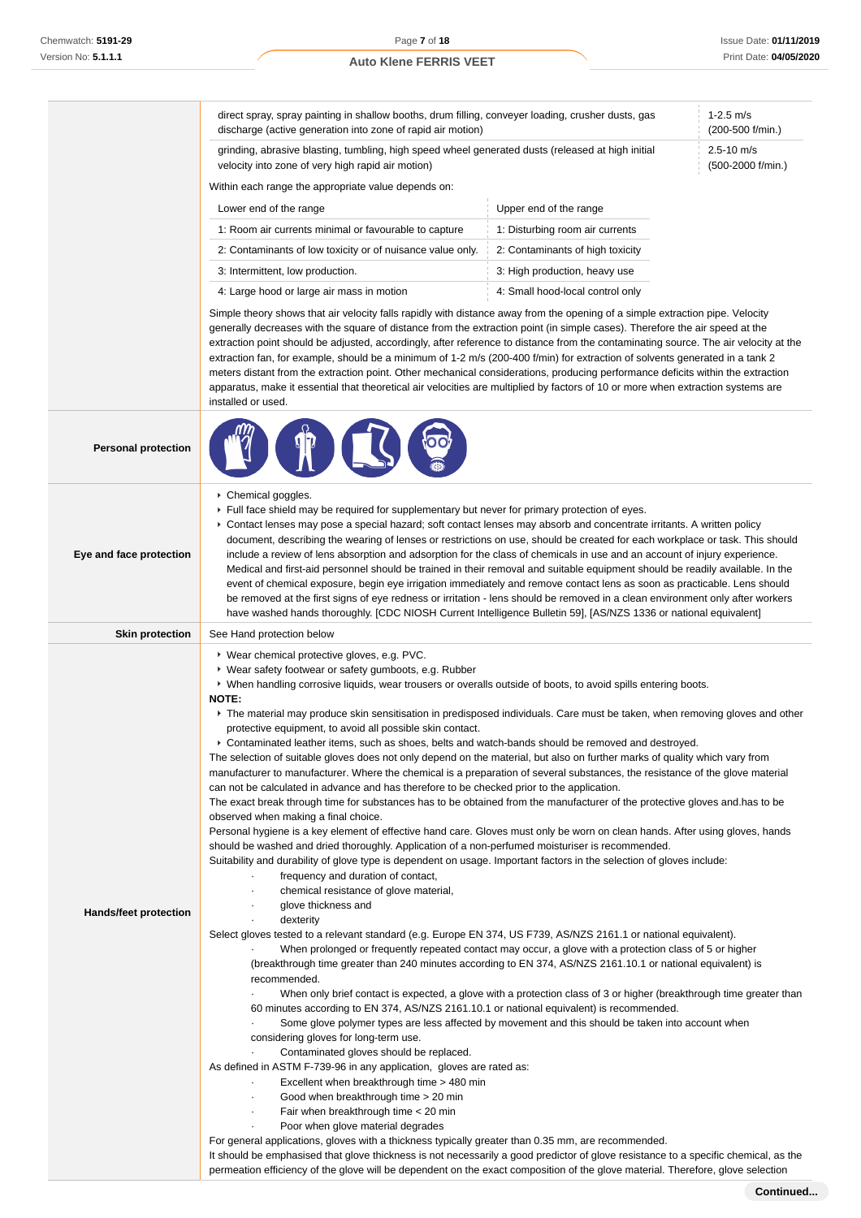|                              | direct spray, spray painting in shallow booths, drum filling, conveyer loading, crusher dusts, gas<br>discharge (active generation into zone of rapid air motion)<br>grinding, abrasive blasting, tumbling, high speed wheel generated dusts (released at high initial<br>velocity into zone of very high rapid air motion)                                                                                                                                                                                                                                                                                                                                                                                                                                                                                                                                                                                                                                                                                                                                                                                                                                                                                                                                                                                                                                                                                                                                                                                                                                                                                                                                                                                                                                                                                                                                                                                                                                                                                                                                                                                                                                                                                                                                                                                                                                                                                                                                                                                 |                                  | $1 - 2.5$ m/s<br>(200-500 f/min.)   |
|------------------------------|-------------------------------------------------------------------------------------------------------------------------------------------------------------------------------------------------------------------------------------------------------------------------------------------------------------------------------------------------------------------------------------------------------------------------------------------------------------------------------------------------------------------------------------------------------------------------------------------------------------------------------------------------------------------------------------------------------------------------------------------------------------------------------------------------------------------------------------------------------------------------------------------------------------------------------------------------------------------------------------------------------------------------------------------------------------------------------------------------------------------------------------------------------------------------------------------------------------------------------------------------------------------------------------------------------------------------------------------------------------------------------------------------------------------------------------------------------------------------------------------------------------------------------------------------------------------------------------------------------------------------------------------------------------------------------------------------------------------------------------------------------------------------------------------------------------------------------------------------------------------------------------------------------------------------------------------------------------------------------------------------------------------------------------------------------------------------------------------------------------------------------------------------------------------------------------------------------------------------------------------------------------------------------------------------------------------------------------------------------------------------------------------------------------------------------------------------------------------------------------------------------------|----------------------------------|-------------------------------------|
|                              |                                                                                                                                                                                                                                                                                                                                                                                                                                                                                                                                                                                                                                                                                                                                                                                                                                                                                                                                                                                                                                                                                                                                                                                                                                                                                                                                                                                                                                                                                                                                                                                                                                                                                                                                                                                                                                                                                                                                                                                                                                                                                                                                                                                                                                                                                                                                                                                                                                                                                                             |                                  | $2.5 - 10$ m/s<br>(500-2000 f/min.) |
|                              | Within each range the appropriate value depends on:                                                                                                                                                                                                                                                                                                                                                                                                                                                                                                                                                                                                                                                                                                                                                                                                                                                                                                                                                                                                                                                                                                                                                                                                                                                                                                                                                                                                                                                                                                                                                                                                                                                                                                                                                                                                                                                                                                                                                                                                                                                                                                                                                                                                                                                                                                                                                                                                                                                         |                                  |                                     |
|                              | Lower end of the range                                                                                                                                                                                                                                                                                                                                                                                                                                                                                                                                                                                                                                                                                                                                                                                                                                                                                                                                                                                                                                                                                                                                                                                                                                                                                                                                                                                                                                                                                                                                                                                                                                                                                                                                                                                                                                                                                                                                                                                                                                                                                                                                                                                                                                                                                                                                                                                                                                                                                      | Upper end of the range           |                                     |
|                              | 1: Room air currents minimal or favourable to capture                                                                                                                                                                                                                                                                                                                                                                                                                                                                                                                                                                                                                                                                                                                                                                                                                                                                                                                                                                                                                                                                                                                                                                                                                                                                                                                                                                                                                                                                                                                                                                                                                                                                                                                                                                                                                                                                                                                                                                                                                                                                                                                                                                                                                                                                                                                                                                                                                                                       | 1: Disturbing room air currents  |                                     |
|                              | 2: Contaminants of low toxicity or of nuisance value only.                                                                                                                                                                                                                                                                                                                                                                                                                                                                                                                                                                                                                                                                                                                                                                                                                                                                                                                                                                                                                                                                                                                                                                                                                                                                                                                                                                                                                                                                                                                                                                                                                                                                                                                                                                                                                                                                                                                                                                                                                                                                                                                                                                                                                                                                                                                                                                                                                                                  | 2: Contaminants of high toxicity |                                     |
|                              | 3: Intermittent, low production.                                                                                                                                                                                                                                                                                                                                                                                                                                                                                                                                                                                                                                                                                                                                                                                                                                                                                                                                                                                                                                                                                                                                                                                                                                                                                                                                                                                                                                                                                                                                                                                                                                                                                                                                                                                                                                                                                                                                                                                                                                                                                                                                                                                                                                                                                                                                                                                                                                                                            | 3: High production, heavy use    |                                     |
|                              | 4: Large hood or large air mass in motion                                                                                                                                                                                                                                                                                                                                                                                                                                                                                                                                                                                                                                                                                                                                                                                                                                                                                                                                                                                                                                                                                                                                                                                                                                                                                                                                                                                                                                                                                                                                                                                                                                                                                                                                                                                                                                                                                                                                                                                                                                                                                                                                                                                                                                                                                                                                                                                                                                                                   | 4: Small hood-local control only |                                     |
|                              | Simple theory shows that air velocity falls rapidly with distance away from the opening of a simple extraction pipe. Velocity                                                                                                                                                                                                                                                                                                                                                                                                                                                                                                                                                                                                                                                                                                                                                                                                                                                                                                                                                                                                                                                                                                                                                                                                                                                                                                                                                                                                                                                                                                                                                                                                                                                                                                                                                                                                                                                                                                                                                                                                                                                                                                                                                                                                                                                                                                                                                                               |                                  |                                     |
|                              | generally decreases with the square of distance from the extraction point (in simple cases). Therefore the air speed at the<br>extraction point should be adjusted, accordingly, after reference to distance from the contaminating source. The air velocity at the<br>extraction fan, for example, should be a minimum of 1-2 m/s (200-400 f/min) for extraction of solvents generated in a tank 2<br>meters distant from the extraction point. Other mechanical considerations, producing performance deficits within the extraction<br>apparatus, make it essential that theoretical air velocities are multiplied by factors of 10 or more when extraction systems are<br>installed or used.                                                                                                                                                                                                                                                                                                                                                                                                                                                                                                                                                                                                                                                                                                                                                                                                                                                                                                                                                                                                                                                                                                                                                                                                                                                                                                                                                                                                                                                                                                                                                                                                                                                                                                                                                                                                            |                                  |                                     |
| <b>Personal protection</b>   |                                                                                                                                                                                                                                                                                                                                                                                                                                                                                                                                                                                                                                                                                                                                                                                                                                                                                                                                                                                                                                                                                                                                                                                                                                                                                                                                                                                                                                                                                                                                                                                                                                                                                                                                                                                                                                                                                                                                                                                                                                                                                                                                                                                                                                                                                                                                                                                                                                                                                                             |                                  |                                     |
| Eye and face protection      | ▸ Chemical goggles.<br>Full face shield may be required for supplementary but never for primary protection of eyes.<br>Contact lenses may pose a special hazard; soft contact lenses may absorb and concentrate irritants. A written policy<br>document, describing the wearing of lenses or restrictions on use, should be created for each workplace or task. This should<br>include a review of lens absorption and adsorption for the class of chemicals in use and an account of injury experience.<br>Medical and first-aid personnel should be trained in their removal and suitable equipment should be readily available. In the<br>event of chemical exposure, begin eye irrigation immediately and remove contact lens as soon as practicable. Lens should<br>be removed at the first signs of eye redness or irritation - lens should be removed in a clean environment only after workers<br>have washed hands thoroughly. [CDC NIOSH Current Intelligence Bulletin 59], [AS/NZS 1336 or national equivalent]                                                                                                                                                                                                                                                                                                                                                                                                                                                                                                                                                                                                                                                                                                                                                                                                                                                                                                                                                                                                                                                                                                                                                                                                                                                                                                                                                                                                                                                                                  |                                  |                                     |
| <b>Skin protection</b>       | See Hand protection below                                                                                                                                                                                                                                                                                                                                                                                                                                                                                                                                                                                                                                                                                                                                                                                                                                                                                                                                                                                                                                                                                                                                                                                                                                                                                                                                                                                                                                                                                                                                                                                                                                                                                                                                                                                                                                                                                                                                                                                                                                                                                                                                                                                                                                                                                                                                                                                                                                                                                   |                                  |                                     |
| <b>Hands/feet protection</b> | ▶ Wear chemical protective gloves, e.g. PVC.<br>▶ Wear safety footwear or safety gumboots, e.g. Rubber<br>▶ When handling corrosive liquids, wear trousers or overalls outside of boots, to avoid spills entering boots.<br><b>NOTE:</b><br>▶ The material may produce skin sensitisation in predisposed individuals. Care must be taken, when removing gloves and other<br>protective equipment, to avoid all possible skin contact.<br>► Contaminated leather items, such as shoes, belts and watch-bands should be removed and destroyed.<br>The selection of suitable gloves does not only depend on the material, but also on further marks of quality which vary from<br>manufacturer to manufacturer. Where the chemical is a preparation of several substances, the resistance of the glove material<br>can not be calculated in advance and has therefore to be checked prior to the application.<br>The exact break through time for substances has to be obtained from the manufacturer of the protective gloves and has to be<br>observed when making a final choice.<br>Personal hygiene is a key element of effective hand care. Gloves must only be worn on clean hands. After using gloves, hands<br>should be washed and dried thoroughly. Application of a non-perfumed moisturiser is recommended.<br>Suitability and durability of glove type is dependent on usage. Important factors in the selection of gloves include:<br>frequency and duration of contact,<br>chemical resistance of glove material,<br>glove thickness and<br>dexterity<br>Select gloves tested to a relevant standard (e.g. Europe EN 374, US F739, AS/NZS 2161.1 or national equivalent).<br>When prolonged or frequently repeated contact may occur, a glove with a protection class of 5 or higher<br>(breakthrough time greater than 240 minutes according to EN 374, AS/NZS 2161.10.1 or national equivalent) is<br>recommended.<br>When only brief contact is expected, a glove with a protection class of 3 or higher (breakthrough time greater than<br>60 minutes according to EN 374, AS/NZS 2161.10.1 or national equivalent) is recommended.<br>Some glove polymer types are less affected by movement and this should be taken into account when<br>considering gloves for long-term use.<br>Contaminated gloves should be replaced.<br>As defined in ASTM F-739-96 in any application, gloves are rated as:<br>Excellent when breakthrough time > 480 min<br>Good when breakthrough time > 20 min |                                  |                                     |

- Good when breakthrough time > 20 min
- Fair when breakthrough time < 20 min
- Poor when glove material degrades
- For general applications, gloves with a thickness typically greater than 0.35 mm, are recommended.

It should be emphasised that glove thickness is not necessarily a good predictor of glove resistance to a specific chemical, as the permeation efficiency of the glove will be dependent on the exact composition of the glove material. Therefore, glove selection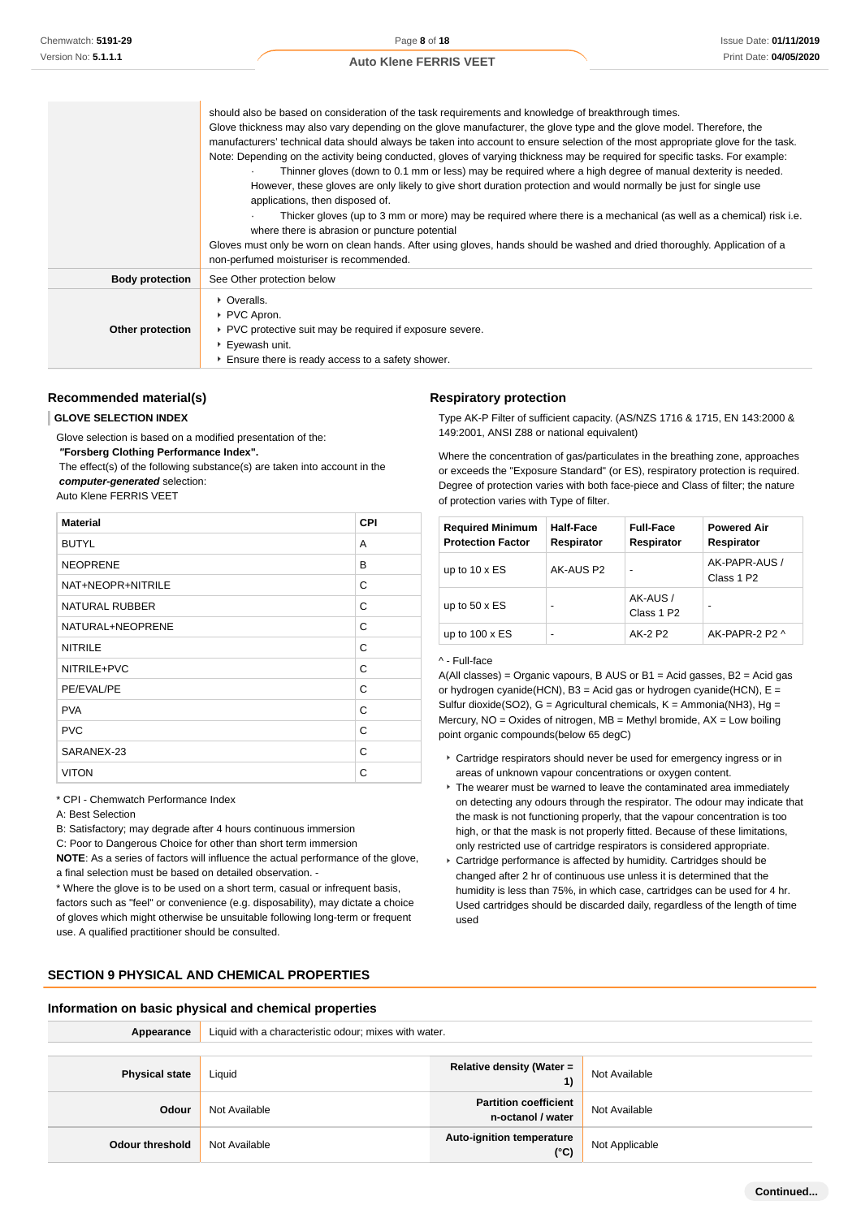|                        | should also be based on consideration of the task requirements and knowledge of breakthrough times.<br>Glove thickness may also vary depending on the glove manufacturer, the glove type and the glove model. Therefore, the<br>manufacturers' technical data should always be taken into account to ensure selection of the most appropriate glove for the task.<br>Note: Depending on the activity being conducted, gloves of varying thickness may be required for specific tasks. For example:<br>Thinner gloves (down to 0.1 mm or less) may be required where a high degree of manual dexterity is needed.<br>However, these gloves are only likely to give short duration protection and would normally be just for single use<br>applications, then disposed of.<br>Thicker gloves (up to 3 mm or more) may be required where there is a mechanical (as well as a chemical) risk i.e.<br>where there is abrasion or puncture potential<br>Gloves must only be worn on clean hands. After using gloves, hands should be washed and dried thoroughly. Application of a<br>non-perfumed moisturiser is recommended. |
|------------------------|--------------------------------------------------------------------------------------------------------------------------------------------------------------------------------------------------------------------------------------------------------------------------------------------------------------------------------------------------------------------------------------------------------------------------------------------------------------------------------------------------------------------------------------------------------------------------------------------------------------------------------------------------------------------------------------------------------------------------------------------------------------------------------------------------------------------------------------------------------------------------------------------------------------------------------------------------------------------------------------------------------------------------------------------------------------------------------------------------------------------------|
| <b>Body protection</b> | See Other protection below                                                                                                                                                                                                                                                                                                                                                                                                                                                                                                                                                                                                                                                                                                                                                                                                                                                                                                                                                                                                                                                                                               |
| Other protection       | • Overalls.<br>▶ PVC Apron.<br>▶ PVC protective suit may be required if exposure severe.<br>$\blacktriangleright$ Eyewash unit.<br>Ensure there is ready access to a safety shower.                                                                                                                                                                                                                                                                                                                                                                                                                                                                                                                                                                                                                                                                                                                                                                                                                                                                                                                                      |

### **Recommended material(s)**

### **GLOVE SELECTION INDEX**

Glove selection is based on a modified presentation of the:  **"Forsberg Clothing Performance Index".**

The effect(s) of the following substance(s) are taken into account in the

**computer-generated** selection:

\* CPI - Chemwatch Performance Index

A: Best Selection

Auto Klene FERRIS VEET

| <b>Material</b>       | <b>CPI</b> |
|-----------------------|------------|
| <b>BUTYL</b>          | A          |
| <b>NEOPRENE</b>       | в          |
| NAT+NEOPR+NITRILE     | С          |
| <b>NATURAL RUBBER</b> | С          |
| NATURAL+NEOPRENE      | C          |
| <b>NITRILE</b>        | С          |
| NITRILE+PVC           | С          |
| PE/EVAL/PE            | C          |
| <b>PVA</b>            | C          |
| <b>PVC</b>            | С          |
| SARANEX-23            | C          |
| <b>VITON</b>          | С          |

# **Respiratory protection**

Type AK-P Filter of sufficient capacity. (AS/NZS 1716 & 1715, EN 143:2000 & 149:2001, ANSI Z88 or national equivalent)

Where the concentration of gas/particulates in the breathing zone, approaches or exceeds the "Exposure Standard" (or ES), respiratory protection is required. Degree of protection varies with both face-piece and Class of filter; the nature of protection varies with Type of filter.

| <b>Required Minimum</b><br><b>Protection Factor</b> | <b>Half-Face</b><br>Respirator | <b>Full-Face</b><br>Respirator     | <b>Powered Air</b><br>Respirator        |
|-----------------------------------------------------|--------------------------------|------------------------------------|-----------------------------------------|
| up to $10 \times ES$                                | AK-AUS P2                      | ۰                                  | AK-PAPR-AUS /<br>Class 1 P <sub>2</sub> |
| up to $50 \times ES$                                | -                              | AK-AUS /<br>Class 1 P <sub>2</sub> | $\overline{\phantom{0}}$                |
| up to $100 \times ES$                               | -                              | AK-2 P2                            | $AK-PAPR-2$ P <sub>2</sub> $\land$      |

### ^ - Full-face

A(All classes) = Organic vapours, B AUS or B1 = Acid gasses, B2 = Acid gas or hydrogen cyanide(HCN),  $B3 = Acid$  gas or hydrogen cyanide(HCN),  $E =$ Sulfur dioxide(SO2), G = Agricultural chemicals, K = Ammonia(NH3), Hg = Mercury,  $NO = Oxides$  of nitrogen,  $MB = Methyl$  bromide,  $AX = Low$  boiling point organic compounds(below 65 degC)

- Cartridge respirators should never be used for emergency ingress or in areas of unknown vapour concentrations or oxygen content.
- ▶ The wearer must be warned to leave the contaminated area immediately on detecting any odours through the respirator. The odour may indicate that the mask is not functioning properly, that the vapour concentration is too high, or that the mask is not properly fitted. Because of these limitations, only restricted use of cartridge respirators is considered appropriate.
- Cartridge performance is affected by humidity. Cartridges should be changed after 2 hr of continuous use unless it is determined that the humidity is less than 75%, in which case, cartridges can be used for 4 hr. Used cartridges should be discarded daily, regardless of the length of time used

B: Satisfactory; may degrade after 4 hours continuous immersion C: Poor to Dangerous Choice for other than short term immersion

a final selection must be based on detailed observation. -

use. A qualified practitioner should be consulted.

**NOTE**: As a series of factors will influence the actual performance of the glove,

\* Where the glove is to be used on a short term, casual or infrequent basis, factors such as "feel" or convenience (e.g. disposability), may dictate a choice of gloves which might otherwise be unsuitable following long-term or frequent

# **SECTION 9 PHYSICAL AND CHEMICAL PROPERTIES**

# **Information on basic physical and chemical properties**

| Appearance            | Liquid with a characteristic odour; mixes with water. |                                                   |                |
|-----------------------|-------------------------------------------------------|---------------------------------------------------|----------------|
|                       |                                                       |                                                   |                |
| <b>Physical state</b> | Liquid                                                | <b>Relative density (Water =</b><br>1)            | Not Available  |
| Odour                 | Not Available                                         | <b>Partition coefficient</b><br>n-octanol / water | Not Available  |
| Odour threshold       | Not Available                                         | <b>Auto-ignition temperature</b><br>(°C)          | Not Applicable |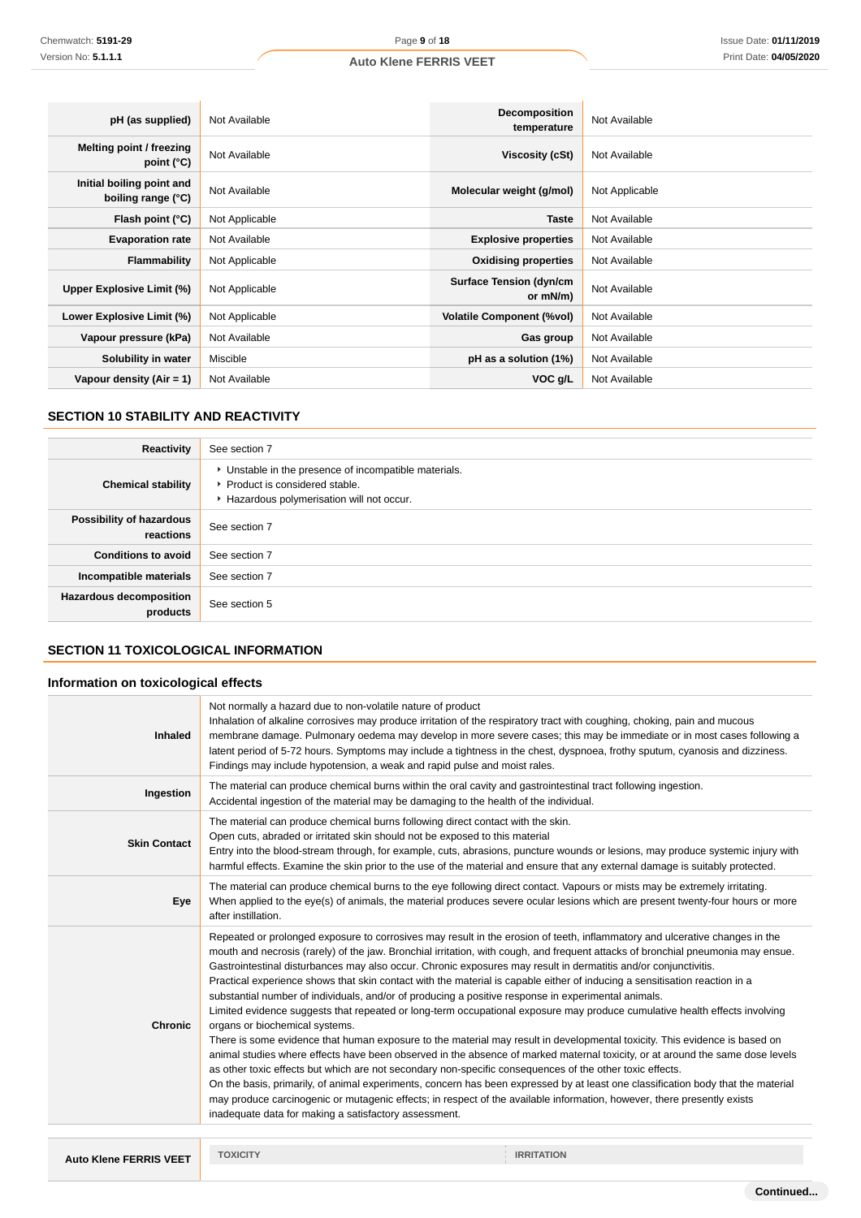| pH (as supplied)                                | Not Available  | <b>Decomposition</b><br>temperature        | Not Available  |
|-------------------------------------------------|----------------|--------------------------------------------|----------------|
| Melting point / freezing<br>point $(^{\circ}C)$ | Not Available  | Viscosity (cSt)                            | Not Available  |
| Initial boiling point and<br>boiling range (°C) | Not Available  | Molecular weight (g/mol)                   | Not Applicable |
| Flash point $(°C)$                              | Not Applicable | <b>Taste</b>                               | Not Available  |
| <b>Evaporation rate</b>                         | Not Available  | <b>Explosive properties</b>                | Not Available  |
| Flammability                                    | Not Applicable | <b>Oxidising properties</b>                | Not Available  |
| Upper Explosive Limit (%)                       | Not Applicable | <b>Surface Tension (dyn/cm</b><br>or mN/m) | Not Available  |
| Lower Explosive Limit (%)                       | Not Applicable | <b>Volatile Component (%vol)</b>           | Not Available  |
| Vapour pressure (kPa)                           | Not Available  | Gas group                                  | Not Available  |
| Solubility in water                             | Miscible       | pH as a solution (1%)                      | Not Available  |
| Vapour density (Air = 1)                        | Not Available  | VOC g/L                                    | Not Available  |

# **SECTION 10 STABILITY AND REACTIVITY**

| Reactivity                                 | See section 7                                                                                                                        |
|--------------------------------------------|--------------------------------------------------------------------------------------------------------------------------------------|
| <b>Chemical stability</b>                  | • Unstable in the presence of incompatible materials.<br>▶ Product is considered stable.<br>Hazardous polymerisation will not occur. |
| Possibility of hazardous<br>reactions      | See section 7                                                                                                                        |
| <b>Conditions to avoid</b>                 | See section 7                                                                                                                        |
| Incompatible materials                     | See section 7                                                                                                                        |
| <b>Hazardous decomposition</b><br>products | See section 5                                                                                                                        |

# **SECTION 11 TOXICOLOGICAL INFORMATION**

# **Information on toxicological effects**

| <b>Inhaled</b>                | Not normally a hazard due to non-volatile nature of product<br>Findings may include hypotension, a weak and rapid pulse and moist rales.                                                                                                                                                                                                                                                                                      | Inhalation of alkaline corrosives may produce irritation of the respiratory tract with coughing, choking, pain and mucous<br>membrane damage. Pulmonary oedema may develop in more severe cases; this may be immediate or in most cases following a<br>latent period of 5-72 hours. Symptoms may include a tightness in the chest, dyspnoea, frothy sputum, cyanosis and dizziness.                                                                                                                                                                                                                                                                                                                                                                                                                                                                                                                                                                                                                                                                       |
|-------------------------------|-------------------------------------------------------------------------------------------------------------------------------------------------------------------------------------------------------------------------------------------------------------------------------------------------------------------------------------------------------------------------------------------------------------------------------|-----------------------------------------------------------------------------------------------------------------------------------------------------------------------------------------------------------------------------------------------------------------------------------------------------------------------------------------------------------------------------------------------------------------------------------------------------------------------------------------------------------------------------------------------------------------------------------------------------------------------------------------------------------------------------------------------------------------------------------------------------------------------------------------------------------------------------------------------------------------------------------------------------------------------------------------------------------------------------------------------------------------------------------------------------------|
| Ingestion                     | The material can produce chemical burns within the oral cavity and gastrointestinal tract following ingestion.<br>Accidental ingestion of the material may be damaging to the health of the individual.                                                                                                                                                                                                                       |                                                                                                                                                                                                                                                                                                                                                                                                                                                                                                                                                                                                                                                                                                                                                                                                                                                                                                                                                                                                                                                           |
| <b>Skin Contact</b>           | The material can produce chemical burns following direct contact with the skin.<br>Open cuts, abraded or irritated skin should not be exposed to this material                                                                                                                                                                                                                                                                | Entry into the blood-stream through, for example, cuts, abrasions, puncture wounds or lesions, may produce systemic injury with<br>harmful effects. Examine the skin prior to the use of the material and ensure that any external damage is suitably protected.                                                                                                                                                                                                                                                                                                                                                                                                                                                                                                                                                                                                                                                                                                                                                                                          |
| Eye                           | after instillation.                                                                                                                                                                                                                                                                                                                                                                                                           | The material can produce chemical burns to the eye following direct contact. Vapours or mists may be extremely irritating.<br>When applied to the eye(s) of animals, the material produces severe ocular lesions which are present twenty-four hours or more                                                                                                                                                                                                                                                                                                                                                                                                                                                                                                                                                                                                                                                                                                                                                                                              |
| <b>Chronic</b>                | Gastrointestinal disturbances may also occur. Chronic exposures may result in dermatitis and/or conjunctivitis.<br>substantial number of individuals, and/or of producing a positive response in experimental animals.<br>organs or biochemical systems.<br>as other toxic effects but which are not secondary non-specific consequences of the other toxic effects.<br>inadequate data for making a satisfactory assessment. | Repeated or prolonged exposure to corrosives may result in the erosion of teeth, inflammatory and ulcerative changes in the<br>mouth and necrosis (rarely) of the jaw. Bronchial irritation, with cough, and frequent attacks of bronchial pneumonia may ensue.<br>Practical experience shows that skin contact with the material is capable either of inducing a sensitisation reaction in a<br>Limited evidence suggests that repeated or long-term occupational exposure may produce cumulative health effects involving<br>There is some evidence that human exposure to the material may result in developmental toxicity. This evidence is based on<br>animal studies where effects have been observed in the absence of marked maternal toxicity, or at around the same dose levels<br>On the basis, primarily, of animal experiments, concern has been expressed by at least one classification body that the material<br>may produce carcinogenic or mutagenic effects; in respect of the available information, however, there presently exists |
|                               |                                                                                                                                                                                                                                                                                                                                                                                                                               |                                                                                                                                                                                                                                                                                                                                                                                                                                                                                                                                                                                                                                                                                                                                                                                                                                                                                                                                                                                                                                                           |
| <b>Auto Klene FERRIS VEET</b> | <b>TOXICITY</b>                                                                                                                                                                                                                                                                                                                                                                                                               | <b>IRRITATION</b>                                                                                                                                                                                                                                                                                                                                                                                                                                                                                                                                                                                                                                                                                                                                                                                                                                                                                                                                                                                                                                         |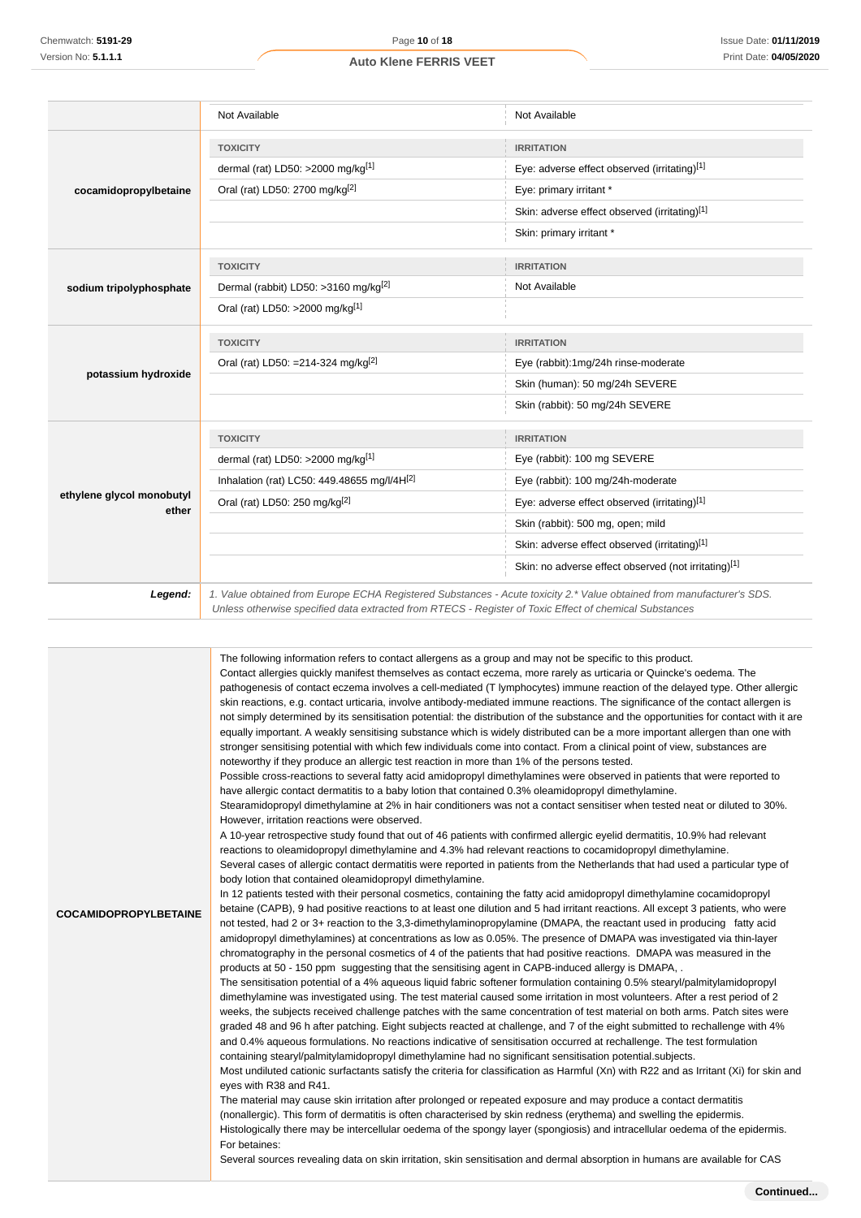|                                    | Not Available                                                                                                                                                                                                                   | Not Available                                        |  |
|------------------------------------|---------------------------------------------------------------------------------------------------------------------------------------------------------------------------------------------------------------------------------|------------------------------------------------------|--|
|                                    | <b>TOXICITY</b>                                                                                                                                                                                                                 | <b>IRRITATION</b>                                    |  |
|                                    | dermal (rat) LD50: >2000 mg/kg <sup>[1]</sup>                                                                                                                                                                                   | Eye: adverse effect observed (irritating)[1]         |  |
| cocamidopropylbetaine              | Oral (rat) LD50: 2700 mg/kg <sup>[2]</sup>                                                                                                                                                                                      | Eye: primary irritant *                              |  |
|                                    |                                                                                                                                                                                                                                 | Skin: adverse effect observed (irritating)[1]        |  |
|                                    |                                                                                                                                                                                                                                 | Skin: primary irritant *                             |  |
|                                    | <b>TOXICITY</b>                                                                                                                                                                                                                 | <b>IRRITATION</b>                                    |  |
| sodium tripolyphosphate            | Dermal (rabbit) LD50: >3160 mg/kg <sup>[2]</sup>                                                                                                                                                                                | Not Available                                        |  |
|                                    | Oral (rat) LD50: >2000 mg/kg[1]                                                                                                                                                                                                 |                                                      |  |
|                                    | <b>TOXICITY</b>                                                                                                                                                                                                                 | <b>IRRITATION</b>                                    |  |
|                                    | Oral (rat) LD50: =214-324 mg/kg <sup>[2]</sup>                                                                                                                                                                                  | Eye (rabbit):1mg/24h rinse-moderate                  |  |
| potassium hydroxide                |                                                                                                                                                                                                                                 | Skin (human): 50 mg/24h SEVERE                       |  |
|                                    |                                                                                                                                                                                                                                 | Skin (rabbit): 50 mg/24h SEVERE                      |  |
|                                    | <b>TOXICITY</b>                                                                                                                                                                                                                 | <b>IRRITATION</b>                                    |  |
|                                    | dermal (rat) LD50: >2000 mg/kg[1]                                                                                                                                                                                               | Eye (rabbit): 100 mg SEVERE                          |  |
|                                    | Inhalation (rat) LC50: 449.48655 mg/l/4H[2]                                                                                                                                                                                     | Eye (rabbit): 100 mg/24h-moderate                    |  |
| ethylene glycol monobutyl<br>ether | Oral (rat) LD50: 250 mg/kg <sup>[2]</sup>                                                                                                                                                                                       | Eye: adverse effect observed (irritating)[1]         |  |
|                                    |                                                                                                                                                                                                                                 | Skin (rabbit): 500 mg, open; mild                    |  |
|                                    |                                                                                                                                                                                                                                 | Skin: adverse effect observed (irritating)[1]        |  |
|                                    |                                                                                                                                                                                                                                 | Skin: no adverse effect observed (not irritating)[1] |  |
| Legend:                            | 1. Value obtained from Europe ECHA Registered Substances - Acute toxicity 2.* Value obtained from manufacturer's SDS.<br>Unless otherwise specified data extracted from RTECS - Register of Toxic Effect of chemical Substances |                                                      |  |

|                              | The following information refers to contact allergens as a group and may not be specific to this product.<br>Contact allergies quickly manifest themselves as contact eczema, more rarely as urticaria or Quincke's oedema. The                                                                                                                                                                                                                                                                                                                                                                                                                                                                                                                                                                                                                                                                                                                                                                                                                                                                                                                                                                                                                                                                                                                                                                                                                                                                                                                                                                                                                                                                                                                                                                                                                                                                                                                                                                                                                                                                                                                                                                                                                                                                                                                                                                                                                                                                                                                                                                                                                                                                                                                                                                                                                                                                                                                                                                                                                                                                                                                                                                                                                                                                                                                                                                                                                                                                                                                                            |
|------------------------------|----------------------------------------------------------------------------------------------------------------------------------------------------------------------------------------------------------------------------------------------------------------------------------------------------------------------------------------------------------------------------------------------------------------------------------------------------------------------------------------------------------------------------------------------------------------------------------------------------------------------------------------------------------------------------------------------------------------------------------------------------------------------------------------------------------------------------------------------------------------------------------------------------------------------------------------------------------------------------------------------------------------------------------------------------------------------------------------------------------------------------------------------------------------------------------------------------------------------------------------------------------------------------------------------------------------------------------------------------------------------------------------------------------------------------------------------------------------------------------------------------------------------------------------------------------------------------------------------------------------------------------------------------------------------------------------------------------------------------------------------------------------------------------------------------------------------------------------------------------------------------------------------------------------------------------------------------------------------------------------------------------------------------------------------------------------------------------------------------------------------------------------------------------------------------------------------------------------------------------------------------------------------------------------------------------------------------------------------------------------------------------------------------------------------------------------------------------------------------------------------------------------------------------------------------------------------------------------------------------------------------------------------------------------------------------------------------------------------------------------------------------------------------------------------------------------------------------------------------------------------------------------------------------------------------------------------------------------------------------------------------------------------------------------------------------------------------------------------------------------------------------------------------------------------------------------------------------------------------------------------------------------------------------------------------------------------------------------------------------------------------------------------------------------------------------------------------------------------------------------------------------------------------------------------------------------------------|
|                              | pathogenesis of contact eczema involves a cell-mediated (T lymphocytes) immune reaction of the delayed type. Other allergic                                                                                                                                                                                                                                                                                                                                                                                                                                                                                                                                                                                                                                                                                                                                                                                                                                                                                                                                                                                                                                                                                                                                                                                                                                                                                                                                                                                                                                                                                                                                                                                                                                                                                                                                                                                                                                                                                                                                                                                                                                                                                                                                                                                                                                                                                                                                                                                                                                                                                                                                                                                                                                                                                                                                                                                                                                                                                                                                                                                                                                                                                                                                                                                                                                                                                                                                                                                                                                                |
|                              | skin reactions, e.g. contact urticaria, involve antibody-mediated immune reactions. The significance of the contact allergen is                                                                                                                                                                                                                                                                                                                                                                                                                                                                                                                                                                                                                                                                                                                                                                                                                                                                                                                                                                                                                                                                                                                                                                                                                                                                                                                                                                                                                                                                                                                                                                                                                                                                                                                                                                                                                                                                                                                                                                                                                                                                                                                                                                                                                                                                                                                                                                                                                                                                                                                                                                                                                                                                                                                                                                                                                                                                                                                                                                                                                                                                                                                                                                                                                                                                                                                                                                                                                                            |
| <b>COCAMIDOPROPYLBETAINE</b> | not simply determined by its sensitisation potential: the distribution of the substance and the opportunities for contact with it are<br>equally important. A weakly sensitising substance which is widely distributed can be a more important allergen than one with<br>stronger sensitising potential with which few individuals come into contact. From a clinical point of view, substances are<br>noteworthy if they produce an allergic test reaction in more than 1% of the persons tested.<br>Possible cross-reactions to several fatty acid amidopropyl dimethylamines were observed in patients that were reported to<br>have allergic contact dermatitis to a baby lotion that contained 0.3% oleamidopropyl dimethylamine.<br>Stearamidopropyl dimethylamine at 2% in hair conditioners was not a contact sensitiser when tested neat or diluted to 30%.<br>However, irritation reactions were observed.<br>A 10-year retrospective study found that out of 46 patients with confirmed allergic eyelid dermatitis, 10.9% had relevant<br>reactions to oleamidopropyl dimethylamine and 4.3% had relevant reactions to cocamidopropyl dimethylamine.<br>Several cases of allergic contact dermatitis were reported in patients from the Netherlands that had used a particular type of<br>body lotion that contained oleamidopropyl dimethylamine.<br>In 12 patients tested with their personal cosmetics, containing the fatty acid amidopropyl dimethylamine cocamidopropyl<br>betaine (CAPB), 9 had positive reactions to at least one dilution and 5 had irritant reactions. All except 3 patients, who were<br>not tested, had 2 or 3+ reaction to the 3,3-dimethylaminopropylamine (DMAPA, the reactant used in producing fatty acid<br>amidopropyl dimethylamines) at concentrations as low as 0.05%. The presence of DMAPA was investigated via thin-layer<br>chromatography in the personal cosmetics of 4 of the patients that had positive reactions. DMAPA was measured in the<br>products at 50 - 150 ppm suggesting that the sensitising agent in CAPB-induced allergy is DMAPA,.<br>The sensitisation potential of a 4% aqueous liquid fabric softener formulation containing 0.5% stearyl/palmitylamidopropyl<br>dimethylamine was investigated using. The test material caused some irritation in most volunteers. After a rest period of 2<br>weeks, the subjects received challenge patches with the same concentration of test material on both arms. Patch sites were<br>graded 48 and 96 h after patching. Eight subjects reacted at challenge, and 7 of the eight submitted to rechallenge with 4%<br>and 0.4% aqueous formulations. No reactions indicative of sensitisation occurred at rechallenge. The test formulation<br>containing stearyl/palmitylamidopropyl dimethylamine had no significant sensitisation potential.subjects.<br>Most undiluted cationic surfactants satisfy the criteria for classification as Harmful (Xn) with R22 and as Irritant (Xi) for skin and<br>eyes with R38 and R41.<br>The material may cause skin irritation after prolonged or repeated exposure and may produce a contact dermatitis<br>(nonallergic). This form of dermatitis is often characterised by skin redness (erythema) and swelling the epidermis.<br>Histologically there may be intercellular oedema of the spongy layer (spongiosis) and intracellular oedema of the epidermis.<br>For betaines:<br>Several sources revealing data on skin irritation, skin sensitisation and dermal absorption in humans are available for CAS |
|                              |                                                                                                                                                                                                                                                                                                                                                                                                                                                                                                                                                                                                                                                                                                                                                                                                                                                                                                                                                                                                                                                                                                                                                                                                                                                                                                                                                                                                                                                                                                                                                                                                                                                                                                                                                                                                                                                                                                                                                                                                                                                                                                                                                                                                                                                                                                                                                                                                                                                                                                                                                                                                                                                                                                                                                                                                                                                                                                                                                                                                                                                                                                                                                                                                                                                                                                                                                                                                                                                                                                                                                                            |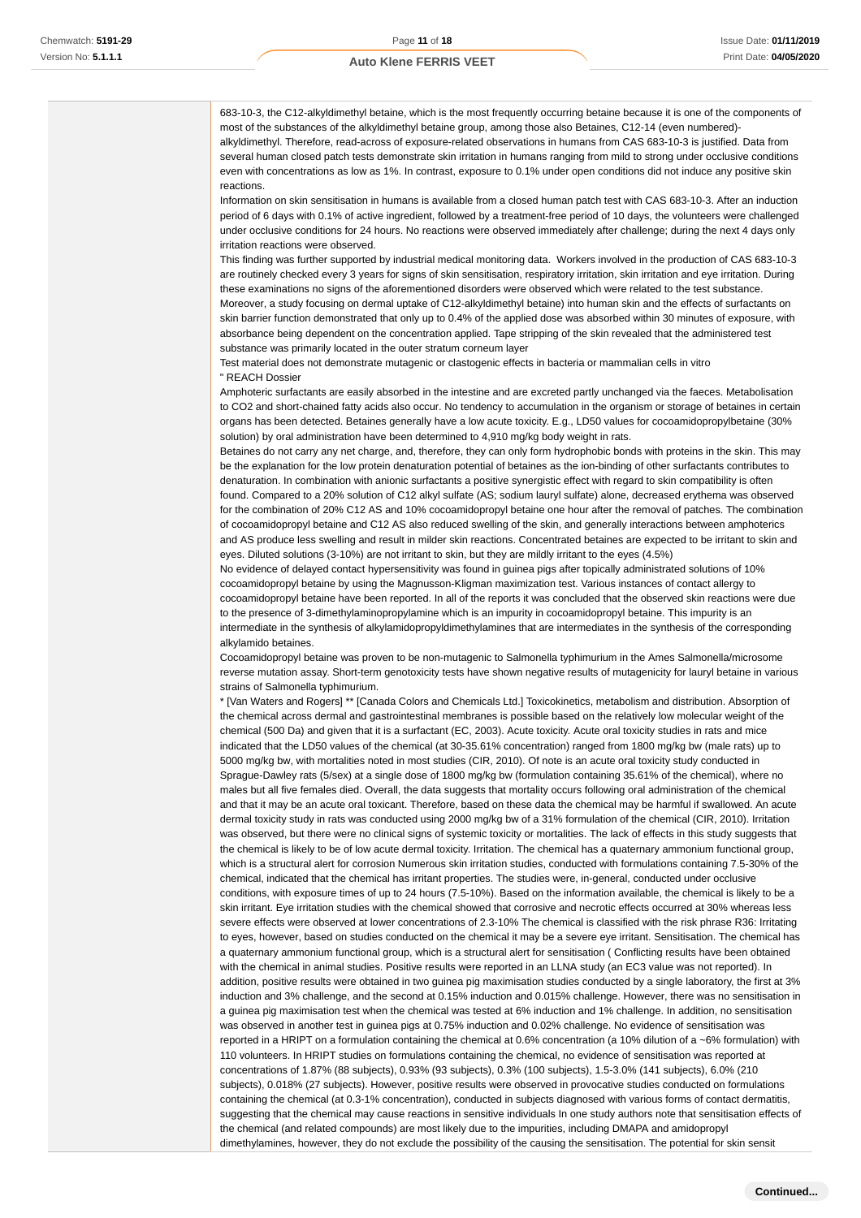683-10-3, the C12-alkyldimethyl betaine, which is the most frequently occurring betaine because it is one of the components of most of the substances of the alkyldimethyl betaine group, among those also Betaines, C12-14 (even numbered) alkyldimethyl. Therefore, read-across of exposure-related observations in humans from CAS 683-10-3 is justified. Data from several human closed patch tests demonstrate skin irritation in humans ranging from mild to strong under occlusive conditions even with concentrations as low as 1%. In contrast, exposure to 0.1% under open conditions did not induce any positive skin reactions.

Information on skin sensitisation in humans is available from a closed human patch test with CAS 683-10-3. After an induction period of 6 days with 0.1% of active ingredient, followed by a treatment-free period of 10 days, the volunteers were challenged under occlusive conditions for 24 hours. No reactions were observed immediately after challenge; during the next 4 days only irritation reactions were observed.

This finding was further supported by industrial medical monitoring data. Workers involved in the production of CAS 683-10-3 are routinely checked every 3 years for signs of skin sensitisation, respiratory irritation, skin irritation and eve irritation. During these examinations no signs of the aforementioned disorders were observed which were related to the test substance.

Moreover, a study focusing on dermal uptake of C12-alkyldimethyl betaine) into human skin and the effects of surfactants on skin barrier function demonstrated that only up to 0.4% of the applied dose was absorbed within 30 minutes of exposure, with absorbance being dependent on the concentration applied. Tape stripping of the skin revealed that the administered test substance was primarily located in the outer stratum corneum layer

Test material does not demonstrate mutagenic or clastogenic effects in bacteria or mammalian cells in vitro " REACH Dossier

Amphoteric surfactants are easily absorbed in the intestine and are excreted partly unchanged via the faeces. Metabolisation to CO2 and short-chained fatty acids also occur. No tendency to accumulation in the organism or storage of betaines in certain organs has been detected. Betaines generally have a low acute toxicity. E.g., LD50 values for cocoamidopropylbetaine (30% solution) by oral administration have been determined to 4,910 mg/kg body weight in rats.

Betaines do not carry any net charge, and, therefore, they can only form hydrophobic bonds with proteins in the skin. This may be the explanation for the low protein denaturation potential of betaines as the ion-binding of other surfactants contributes to denaturation. In combination with anionic surfactants a positive synergistic effect with regard to skin compatibility is often found. Compared to a 20% solution of C12 alkyl sulfate (AS; sodium lauryl sulfate) alone, decreased erythema was observed for the combination of 20% C12 AS and 10% cocoamidopropyl betaine one hour after the removal of patches. The combination of cocoamidopropyl betaine and C12 AS also reduced swelling of the skin, and generally interactions between amphoterics and AS produce less swelling and result in milder skin reactions. Concentrated betaines are expected to be irritant to skin and eyes. Diluted solutions (3-10%) are not irritant to skin, but they are mildly irritant to the eyes (4.5%)

No evidence of delayed contact hypersensitivity was found in guinea pigs after topically administrated solutions of 10% cocoamidopropyl betaine by using the Magnusson-Kligman maximization test. Various instances of contact allergy to cocoamidopropyl betaine have been reported. In all of the reports it was concluded that the observed skin reactions were due to the presence of 3-dimethylaminopropylamine which is an impurity in cocoamidopropyl betaine. This impurity is an intermediate in the synthesis of alkylamidopropyldimethylamines that are intermediates in the synthesis of the corresponding alkylamido betaines.

Cocoamidopropyl betaine was proven to be non-mutagenic to Salmonella typhimurium in the Ames Salmonella/microsome reverse mutation assay. Short-term genotoxicity tests have shown negative results of mutagenicity for lauryl betaine in various strains of Salmonella typhimurium.

\* [Van Waters and Rogers] \*\* [Canada Colors and Chemicals Ltd.] Toxicokinetics, metabolism and distribution. Absorption of the chemical across dermal and gastrointestinal membranes is possible based on the relatively low molecular weight of the chemical (500 Da) and given that it is a surfactant (EC, 2003). Acute toxicity. Acute oral toxicity studies in rats and mice indicated that the LD50 values of the chemical (at 30-35.61% concentration) ranged from 1800 mg/kg bw (male rats) up to 5000 mg/kg bw, with mortalities noted in most studies (CIR, 2010). Of note is an acute oral toxicity study conducted in Sprague-Dawley rats (5/sex) at a single dose of 1800 mg/kg bw (formulation containing 35.61% of the chemical), where no males but all five females died. Overall, the data suggests that mortality occurs following oral administration of the chemical and that it may be an acute oral toxicant. Therefore, based on these data the chemical may be harmful if swallowed. An acute dermal toxicity study in rats was conducted using 2000 mg/kg bw of a 31% formulation of the chemical (CIR, 2010). Irritation was observed, but there were no clinical signs of systemic toxicity or mortalities. The lack of effects in this study suggests that the chemical is likely to be of low acute dermal toxicity. Irritation. The chemical has a quaternary ammonium functional group, which is a structural alert for corrosion Numerous skin irritation studies, conducted with formulations containing 7.5-30% of the chemical, indicated that the chemical has irritant properties. The studies were, in-general, conducted under occlusive conditions, with exposure times of up to 24 hours (7.5-10%). Based on the information available, the chemical is likely to be a skin irritant. Eye irritation studies with the chemical showed that corrosive and necrotic effects occurred at 30% whereas less severe effects were observed at lower concentrations of 2.3-10% The chemical is classified with the risk phrase R36: Irritating to eyes, however, based on studies conducted on the chemical it may be a severe eye irritant. Sensitisation. The chemical has a quaternary ammonium functional group, which is a structural alert for sensitisation ( Conflicting results have been obtained with the chemical in animal studies. Positive results were reported in an LLNA study (an EC3 value was not reported). In addition, positive results were obtained in two guinea pig maximisation studies conducted by a single laboratory, the first at 3% induction and 3% challenge, and the second at 0.15% induction and 0.015% challenge. However, there was no sensitisation in a guinea pig maximisation test when the chemical was tested at 6% induction and 1% challenge. In addition, no sensitisation was observed in another test in guinea pigs at 0.75% induction and 0.02% challenge. No evidence of sensitisation was reported in a HRIPT on a formulation containing the chemical at 0.6% concentration (a 10% dilution of a ~6% formulation) with 110 volunteers. In HRIPT studies on formulations containing the chemical, no evidence of sensitisation was reported at concentrations of 1.87% (88 subjects), 0.93% (93 subjects), 0.3% (100 subjects), 1.5-3.0% (141 subjects), 6.0% (210 subjects), 0.018% (27 subjects). However, positive results were observed in provocative studies conducted on formulations containing the chemical (at 0.3-1% concentration), conducted in subjects diagnosed with various forms of contact dermatitis, suggesting that the chemical may cause reactions in sensitive individuals In one study authors note that sensitisation effects of the chemical (and related compounds) are most likely due to the impurities, including DMAPA and amidopropyl dimethylamines, however, they do not exclude the possibility of the causing the sensitisation. The potential for skin sensit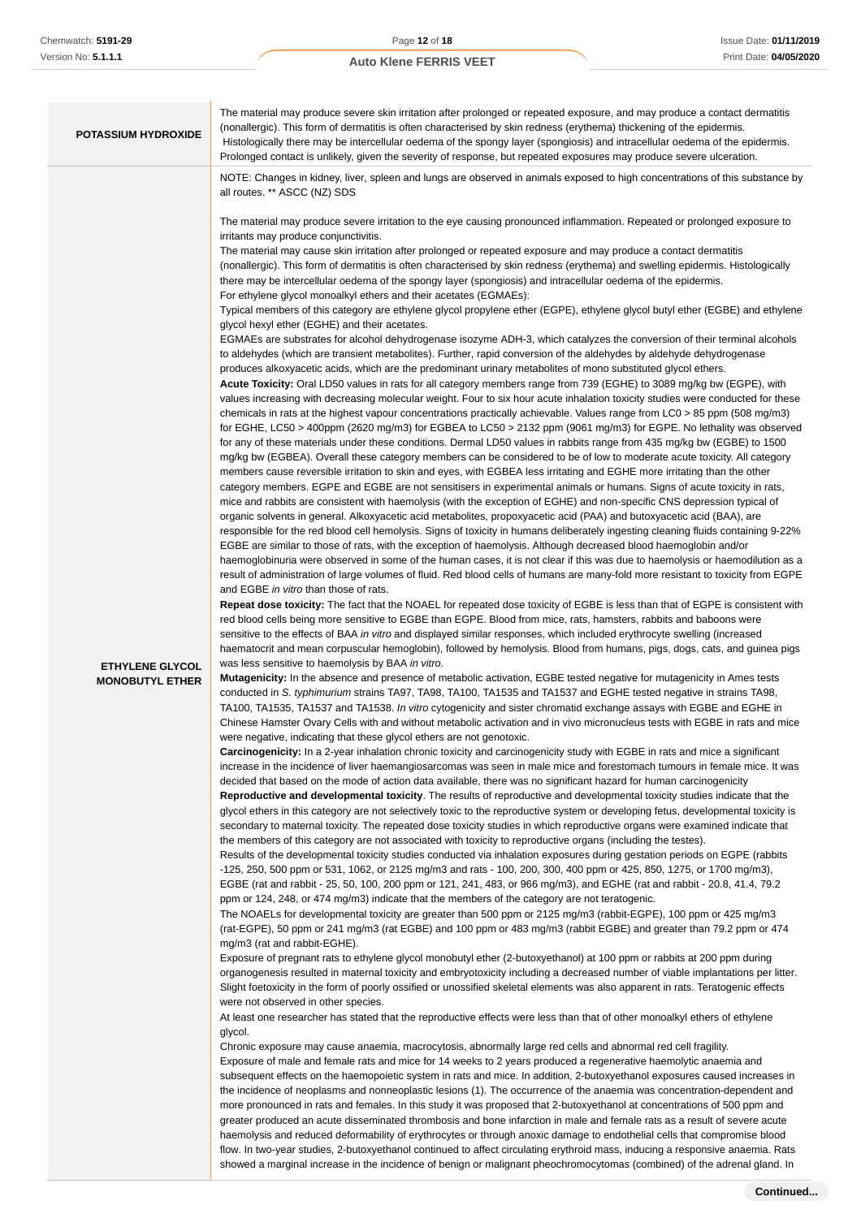| <b>POTASSIUM HYDROXIDE</b> | The material may produce severe skin irritation after prolonged or repeated exposure, and may produce a contact dermatitis<br>(nonallergic). This form of dermatitis is often characterised by skin redness (erythema) thickening of the epidermis.<br>Histologically there may be intercellular oedema of the spongy layer (spongiosis) and intracellular oedema of the epidermis.<br>Prolonged contact is unlikely, given the severity of response, but repeated exposures may produce severe ulceration. |
|----------------------------|-------------------------------------------------------------------------------------------------------------------------------------------------------------------------------------------------------------------------------------------------------------------------------------------------------------------------------------------------------------------------------------------------------------------------------------------------------------------------------------------------------------|
|                            | NOTE: Changes in kidney, liver, spleen and lungs are observed in animals exposed to high concentrations of this substance by<br>all routes. ** ASCC (NZ) SDS                                                                                                                                                                                                                                                                                                                                                |
|                            | The material may produce severe irritation to the eye causing pronounced inflammation. Repeated or prolonged exposure to<br>irritants may produce conjunctivitis.                                                                                                                                                                                                                                                                                                                                           |
|                            | The material may cause skin irritation after prolonged or repeated exposure and may produce a contact dermatitis<br>(nonallergic). This form of dermatitis is often characterised by skin redness (erythema) and swelling epidermis. Histologically<br>there may be intercellular oedema of the spongy layer (spongiosis) and intracellular oedema of the epidermis.<br>For ethylene glycol monoalkyl ethers and their acetates (EGMAEs):                                                                   |
|                            | Typical members of this category are ethylene glycol propylene ether (EGPE), ethylene glycol butyl ether (EGBE) and ethylene                                                                                                                                                                                                                                                                                                                                                                                |
|                            | glycol hexyl ether (EGHE) and their acetates.<br>EGMAEs are substrates for alcohol dehydrogenase isozyme ADH-3, which catalyzes the conversion of their terminal alcohols<br>to aldehydes (which are transient metabolites). Further, rapid conversion of the aldehydes by aldehyde dehydrogenase                                                                                                                                                                                                           |
|                            | produces alkoxyacetic acids, which are the predominant urinary metabolites of mono substituted glycol ethers.                                                                                                                                                                                                                                                                                                                                                                                               |
|                            | Acute Toxicity: Oral LD50 values in rats for all category members range from 739 (EGHE) to 3089 mg/kg bw (EGPE), with<br>values increasing with decreasing molecular weight. Four to six hour acute inhalation toxicity studies were conducted for these<br>chemicals in rats at the highest vapour concentrations practically achievable. Values range from LC0 > 85 ppm (508 mg/m3)<br>for EGHE, LC50 > 400ppm (2620 mg/m3) for EGBEA to LC50 > 2132 ppm (9061 mg/m3) for EGPE. No lethality was observed |
|                            | for any of these materials under these conditions. Dermal LD50 values in rabbits range from 435 mg/kg bw (EGBE) to 1500<br>mg/kg bw (EGBEA). Overall these category members can be considered to be of low to moderate acute toxicity. All category<br>members cause reversible irritation to skin and eyes, with EGBEA less irritating and EGHE more irritating than the other<br>category members. EGPE and EGBE are not sensitisers in experimental animals or humans. Signs of acute toxicity in rats,  |
|                            | mice and rabbits are consistent with haemolysis (with the exception of EGHE) and non-specific CNS depression typical of<br>organic solvents in general. Alkoxyacetic acid metabolites, propoxyacetic acid (PAA) and butoxyacetic acid (BAA), are                                                                                                                                                                                                                                                            |
|                            | responsible for the red blood cell hemolysis. Signs of toxicity in humans deliberately ingesting cleaning fluids containing 9-22%<br>EGBE are similar to those of rats, with the exception of haemolysis. Although decreased blood haemoglobin and/or                                                                                                                                                                                                                                                       |
|                            | haemoglobinuria were observed in some of the human cases, it is not clear if this was due to haemolysis or haemodilution as a<br>result of administration of large volumes of fluid. Red blood cells of humans are many-fold more resistant to toxicity from EGPE                                                                                                                                                                                                                                           |
|                            | and EGBE in vitro than those of rats.<br>Repeat dose toxicity: The fact that the NOAEL for repeated dose toxicity of EGBE is less than that of EGPE is consistent with<br>red blood cells being more sensitive to EGBE than EGPE. Blood from mice, rats, hamsters, rabbits and baboons were                                                                                                                                                                                                                 |
|                            | sensitive to the effects of BAA in vitro and displayed similar responses, which included erythrocyte swelling (increased<br>haematocrit and mean corpuscular hemoglobin), followed by hemolysis. Blood from humans, pigs, dogs, cats, and guinea pigs                                                                                                                                                                                                                                                       |
| <b>ETHYLENE GLYCOL</b>     | was less sensitive to haemolysis by BAA in vitro.                                                                                                                                                                                                                                                                                                                                                                                                                                                           |
| <b>MONOBUTYL ETHER</b>     | Mutagenicity: In the absence and presence of metabolic activation, EGBE tested negative for mutagenicity in Ames tests<br>conducted in S. typhimurium strains TA97, TA98, TA100, TA1535 and TA1537 and EGHE tested negative in strains TA98,<br>TA100, TA1535, TA1537 and TA1538. In vitro cytogenicity and sister chromatid exchange assays with EGBE and EGHE in<br>Chinese Hamster Ovary Cells with and without metabolic activation and in vivo micronucleus tests with EGBE in rats and mice           |
|                            | were negative, indicating that these glycol ethers are not genotoxic.<br>Carcinogenicity: In a 2-year inhalation chronic toxicity and carcinogenicity study with EGBE in rats and mice a significant                                                                                                                                                                                                                                                                                                        |
|                            | increase in the incidence of liver haemangiosarcomas was seen in male mice and forestomach tumours in female mice. It was<br>decided that based on the mode of action data available, there was no significant hazard for human carcinogenicity                                                                                                                                                                                                                                                             |
|                            | Reproductive and developmental toxicity. The results of reproductive and developmental toxicity studies indicate that the<br>glycol ethers in this category are not selectively toxic to the reproductive system or developing fetus, developmental toxicity is                                                                                                                                                                                                                                             |
|                            | secondary to maternal toxicity. The repeated dose toxicity studies in which reproductive organs were examined indicate that<br>the members of this category are not associated with toxicity to reproductive organs (including the testes).                                                                                                                                                                                                                                                                 |
|                            | Results of the developmental toxicity studies conducted via inhalation exposures during gestation periods on EGPE (rabbits<br>-125, 250, 500 ppm or 531, 1062, or 2125 mg/m3 and rats - 100, 200, 300, 400 ppm or 425, 850, 1275, or 1700 mg/m3),<br>EGBE (rat and rabbit - 25, 50, 100, 200 ppm or 121, 241, 483, or 966 mg/m3), and EGHE (rat and rabbit - 20.8, 41.4, 79.2                                                                                                                               |
|                            | ppm or 124, 248, or 474 mg/m3) indicate that the members of the category are not teratogenic.<br>The NOAELs for developmental toxicity are greater than 500 ppm or 2125 mg/m3 (rabbit-EGPE), 100 ppm or 425 mg/m3                                                                                                                                                                                                                                                                                           |
|                            | (rat-EGPE), 50 ppm or 241 mg/m3 (rat EGBE) and 100 ppm or 483 mg/m3 (rabbit EGBE) and greater than 79.2 ppm or 474<br>mg/m3 (rat and rabbit-EGHE).                                                                                                                                                                                                                                                                                                                                                          |
|                            | Exposure of pregnant rats to ethylene glycol monobutyl ether (2-butoxyethanol) at 100 ppm or rabbits at 200 ppm during<br>organogenesis resulted in maternal toxicity and embryotoxicity including a decreased number of viable implantations per litter.<br>Slight foetoxicity in the form of poorly ossified or unossified skeletal elements was also apparent in rats. Teratogenic effects                                                                                                               |
|                            | were not observed in other species.<br>At least one researcher has stated that the reproductive effects were less than that of other monoalkyl ethers of ethylene<br>glycol.                                                                                                                                                                                                                                                                                                                                |
|                            | Chronic exposure may cause anaemia, macrocytosis, abnormally large red cells and abnormal red cell fragility.                                                                                                                                                                                                                                                                                                                                                                                               |
|                            | Exposure of male and female rats and mice for 14 weeks to 2 years produced a regenerative haemolytic anaemia and<br>subsequent effects on the haemopoietic system in rats and mice. In addition, 2-butoxyethanol exposures caused increases in                                                                                                                                                                                                                                                              |
|                            | the incidence of neoplasms and nonneoplastic lesions (1). The occurrence of the anaemia was concentration-dependent and<br>more pronounced in rats and females. In this study it was proposed that 2-butoxyethanol at concentrations of 500 ppm and                                                                                                                                                                                                                                                         |
|                            | greater produced an acute disseminated thrombosis and bone infarction in male and female rats as a result of severe acute<br>haemolysis and reduced deformability of erythrocytes or through anoxic damage to endothelial cells that compromise blood<br>flow. In two-vear studies. 2-butoxvethanol continued to affect circulating ervthroid mass, inducing a responsive anaemia. Rats                                                                                                                     |

showed a marginal increase in the incidence of benign or malignant pheochromocytomas (combined) of the adrenal gland. In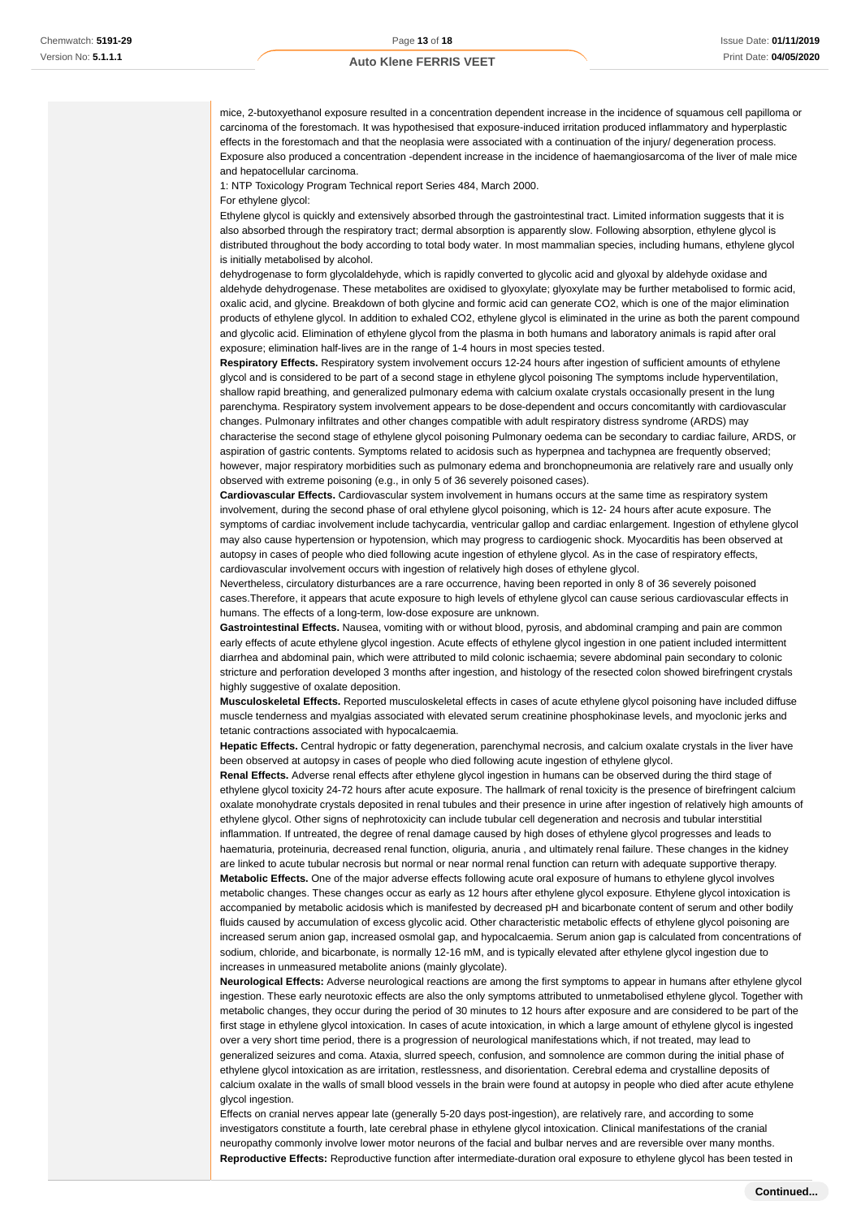mice, 2-butoxyethanol exposure resulted in a concentration dependent increase in the incidence of squamous cell papilloma or carcinoma of the forestomach. It was hypothesised that exposure-induced irritation produced inflammatory and hyperplastic effects in the forestomach and that the neoplasia were associated with a continuation of the injury/ degeneration process. Exposure also produced a concentration -dependent increase in the incidence of haemangiosarcoma of the liver of male mice and hepatocellular carcinoma.

1: NTP Toxicology Program Technical report Series 484, March 2000.

For ethylene glycol:

Ethylene glycol is quickly and extensively absorbed through the gastrointestinal tract. Limited information suggests that it is also absorbed through the respiratory tract; dermal absorption is apparently slow. Following absorption, ethylene glycol is distributed throughout the body according to total body water. In most mammalian species, including humans, ethylene glycol is initially metabolised by alcohol.

dehydrogenase to form glycolaldehyde, which is rapidly converted to glycolic acid and glyoxal by aldehyde oxidase and aldehyde dehydrogenase. These metabolites are oxidised to glyoxylate; glyoxylate may be further metabolised to formic acid, oxalic acid, and glycine. Breakdown of both glycine and formic acid can generate CO2, which is one of the major elimination products of ethylene glycol. In addition to exhaled CO2, ethylene glycol is eliminated in the urine as both the parent compound and glycolic acid. Elimination of ethylene glycol from the plasma in both humans and laboratory animals is rapid after oral exposure; elimination half-lives are in the range of 1-4 hours in most species tested.

**Respiratory Effects.** Respiratory system involvement occurs 12-24 hours after ingestion of sufficient amounts of ethylene glycol and is considered to be part of a second stage in ethylene glycol poisoning The symptoms include hyperventilation, shallow rapid breathing, and generalized pulmonary edema with calcium oxalate crystals occasionally present in the lung parenchyma. Respiratory system involvement appears to be dose-dependent and occurs concomitantly with cardiovascular changes. Pulmonary infiltrates and other changes compatible with adult respiratory distress syndrome (ARDS) may characterise the second stage of ethylene glycol poisoning Pulmonary oedema can be secondary to cardiac failure, ARDS, or aspiration of gastric contents. Symptoms related to acidosis such as hyperpnea and tachypnea are frequently observed; however, major respiratory morbidities such as pulmonary edema and bronchopneumonia are relatively rare and usually only observed with extreme poisoning (e.g., in only 5 of 36 severely poisoned cases).

**Cardiovascular Effects.** Cardiovascular system involvement in humans occurs at the same time as respiratory system involvement, during the second phase of oral ethylene glycol poisoning, which is 12- 24 hours after acute exposure. The symptoms of cardiac involvement include tachycardia, ventricular gallop and cardiac enlargement. Ingestion of ethylene glycol may also cause hypertension or hypotension, which may progress to cardiogenic shock. Myocarditis has been observed at autopsy in cases of people who died following acute ingestion of ethylene glycol. As in the case of respiratory effects, cardiovascular involvement occurs with ingestion of relatively high doses of ethylene glycol.

Nevertheless, circulatory disturbances are a rare occurrence, having been reported in only 8 of 36 severely poisoned cases.Therefore, it appears that acute exposure to high levels of ethylene glycol can cause serious cardiovascular effects in humans. The effects of a long-term, low-dose exposure are unknown.

**Gastrointestinal Effects.** Nausea, vomiting with or without blood, pyrosis, and abdominal cramping and pain are common early effects of acute ethylene glycol ingestion. Acute effects of ethylene glycol ingestion in one patient included intermittent diarrhea and abdominal pain, which were attributed to mild colonic ischaemia; severe abdominal pain secondary to colonic stricture and perforation developed 3 months after ingestion, and histology of the resected colon showed birefringent crystals highly suggestive of oxalate deposition.

**Musculoskeletal Effects.** Reported musculoskeletal effects in cases of acute ethylene glycol poisoning have included diffuse muscle tenderness and myalgias associated with elevated serum creatinine phosphokinase levels, and myoclonic jerks and tetanic contractions associated with hypocalcaemia.

**Hepatic Effects.** Central hydropic or fatty degeneration, parenchymal necrosis, and calcium oxalate crystals in the liver have been observed at autopsy in cases of people who died following acute ingestion of ethylene glycol.

**Renal Effects.** Adverse renal effects after ethylene glycol ingestion in humans can be observed during the third stage of ethylene glycol toxicity 24-72 hours after acute exposure. The hallmark of renal toxicity is the presence of birefringent calcium oxalate monohydrate crystals deposited in renal tubules and their presence in urine after ingestion of relatively high amounts of ethylene glycol. Other signs of nephrotoxicity can include tubular cell degeneration and necrosis and tubular interstitial inflammation. If untreated, the degree of renal damage caused by high doses of ethylene glycol progresses and leads to haematuria, proteinuria, decreased renal function, oliguria, anuria , and ultimately renal failure. These changes in the kidney are linked to acute tubular necrosis but normal or near normal renal function can return with adequate supportive therapy. **Metabolic Effects.** One of the major adverse effects following acute oral exposure of humans to ethylene glycol involves metabolic changes. These changes occur as early as 12 hours after ethylene glycol exposure. Ethylene glycol intoxication is accompanied by metabolic acidosis which is manifested by decreased pH and bicarbonate content of serum and other bodily fluids caused by accumulation of excess glycolic acid. Other characteristic metabolic effects of ethylene glycol poisoning are increased serum anion gap, increased osmolal gap, and hypocalcaemia. Serum anion gap is calculated from concentrations of sodium, chloride, and bicarbonate, is normally 12-16 mM, and is typically elevated after ethylene glycol ingestion due to increases in unmeasured metabolite anions (mainly glycolate).

**Neurological Effects:** Adverse neurological reactions are among the first symptoms to appear in humans after ethylene glycol ingestion. These early neurotoxic effects are also the only symptoms attributed to unmetabolised ethylene glycol. Together with metabolic changes, they occur during the period of 30 minutes to 12 hours after exposure and are considered to be part of the first stage in ethylene glycol intoxication. In cases of acute intoxication, in which a large amount of ethylene glycol is ingested over a very short time period, there is a progression of neurological manifestations which, if not treated, may lead to generalized seizures and coma. Ataxia, slurred speech, confusion, and somnolence are common during the initial phase of ethylene glycol intoxication as are irritation, restlessness, and disorientation. Cerebral edema and crystalline deposits of calcium oxalate in the walls of small blood vessels in the brain were found at autopsy in people who died after acute ethylene glycol ingestion.

Effects on cranial nerves appear late (generally 5-20 days post-ingestion), are relatively rare, and according to some investigators constitute a fourth, late cerebral phase in ethylene glycol intoxication. Clinical manifestations of the cranial neuropathy commonly involve lower motor neurons of the facial and bulbar nerves and are reversible over many months. **Reproductive Effects:** Reproductive function after intermediate-duration oral exposure to ethylene glycol has been tested in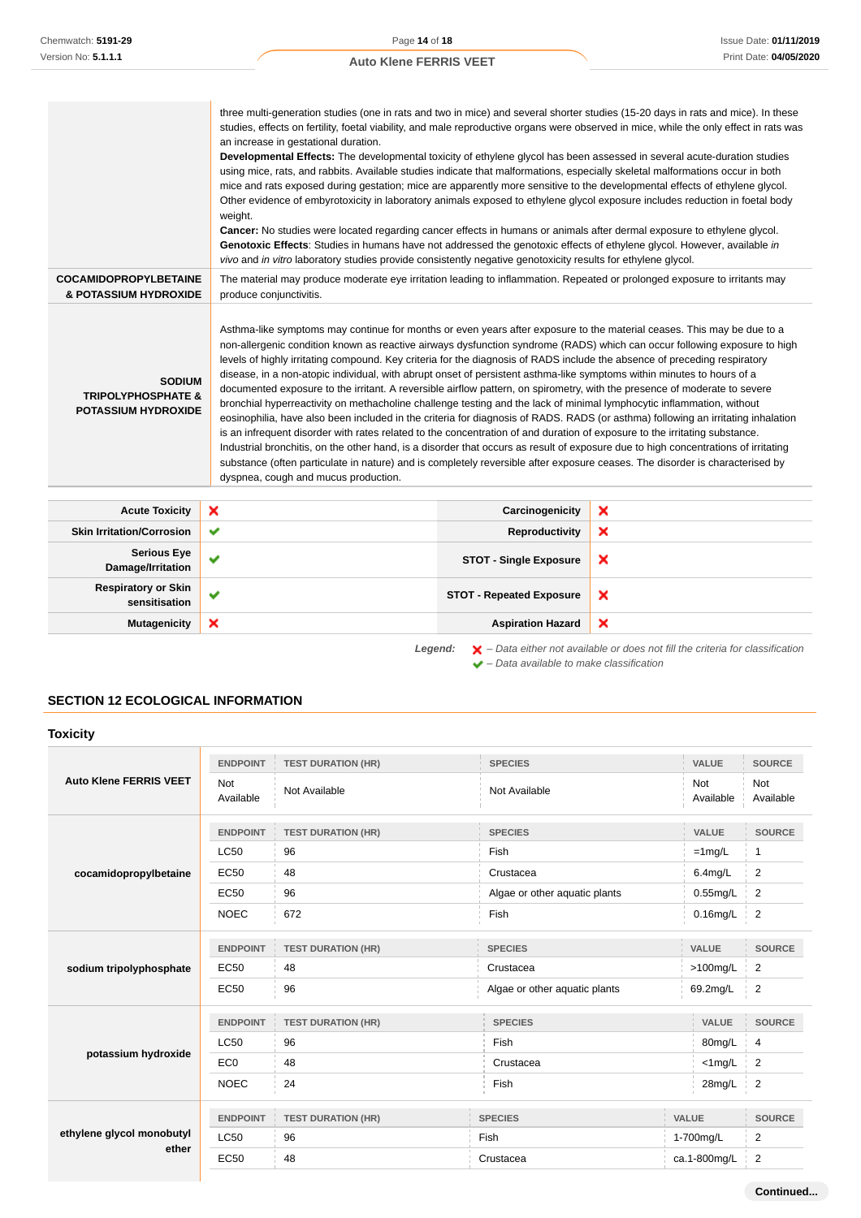|                                                                              | three multi-generation studies (one in rats and two in mice) and several shorter studies (15-20 days in rats and mice). In these<br>studies, effects on fertility, foetal viability, and male reproductive organs were observed in mice, while the only effect in rats was<br>an increase in gestational duration.<br>Developmental Effects: The developmental toxicity of ethylene glycol has been assessed in several acute-duration studies<br>using mice, rats, and rabbits. Available studies indicate that malformations, especially skeletal malformations occur in both<br>mice and rats exposed during gestation; mice are apparently more sensitive to the developmental effects of ethylene glycol.<br>Other evidence of embyrotoxicity in laboratory animals exposed to ethylene glycol exposure includes reduction in foetal body<br>weight.<br><b>Cancer:</b> No studies were located regarding cancer effects in humans or animals after dermal exposure to ethylene glycol.<br>Genotoxic Effects: Studies in humans have not addressed the genotoxic effects of ethylene glycol. However, available in<br>vivo and in vitro laboratory studies provide consistently negative genotoxicity results for ethylene glycol.                                                                                                           |
|------------------------------------------------------------------------------|--------------------------------------------------------------------------------------------------------------------------------------------------------------------------------------------------------------------------------------------------------------------------------------------------------------------------------------------------------------------------------------------------------------------------------------------------------------------------------------------------------------------------------------------------------------------------------------------------------------------------------------------------------------------------------------------------------------------------------------------------------------------------------------------------------------------------------------------------------------------------------------------------------------------------------------------------------------------------------------------------------------------------------------------------------------------------------------------------------------------------------------------------------------------------------------------------------------------------------------------------------------------------------------------------------------------------------------------------|
| <b>COCAMIDOPROPYLBETAINE</b><br>& POTASSIUM HYDROXIDE                        | The material may produce moderate eye irritation leading to inflammation. Repeated or prolonged exposure to irritants may<br>produce conjunctivitis.                                                                                                                                                                                                                                                                                                                                                                                                                                                                                                                                                                                                                                                                                                                                                                                                                                                                                                                                                                                                                                                                                                                                                                                             |
| <b>SODIUM</b><br><b>TRIPOLYPHOSPHATE &amp;</b><br><b>POTASSIUM HYDROXIDE</b> | Asthma-like symptoms may continue for months or even years after exposure to the material ceases. This may be due to a<br>non-allergenic condition known as reactive airways dysfunction syndrome (RADS) which can occur following exposure to high<br>levels of highly irritating compound. Key criteria for the diagnosis of RADS include the absence of preceding respiratory<br>disease, in a non-atopic individual, with abrupt onset of persistent asthma-like symptoms within minutes to hours of a<br>documented exposure to the irritant. A reversible airflow pattern, on spirometry, with the presence of moderate to severe<br>bronchial hyperreactivity on methacholine challenge testing and the lack of minimal lymphocytic inflammation, without<br>eosinophilia, have also been included in the criteria for diagnosis of RADS. RADS (or asthma) following an irritating inhalation<br>is an infrequent disorder with rates related to the concentration of and duration of exposure to the irritating substance.<br>Industrial bronchitis, on the other hand, is a disorder that occurs as result of exposure due to high concentrations of irritating<br>substance (often particulate in nature) and is completely reversible after exposure ceases. The disorder is characterised by<br>dyspnea, cough and mucus production. |

| <b>Acute Toxicity</b>                       | ×            | Carcinogenicity                 | × |
|---------------------------------------------|--------------|---------------------------------|---|
| <b>Skin Irritation/Corrosion</b>            | $\checkmark$ | Reproductivity                  | × |
| <b>Serious Eye</b><br>Damage/Irritation     | ັ            | <b>STOT - Single Exposure</b>   | × |
| <b>Respiratory or Skin</b><br>sensitisation | ✔            | <b>STOT - Repeated Exposure</b> | × |
| <b>Mutagenicity</b>                         | ×            | <b>Aspiration Hazard</b>        | × |

Legend:  $\mathsf{X}$  - Data either not available or does not fill the criteria for classification  $\blacktriangleright$  – Data available to make classification

# **SECTION 12 ECOLOGICAL INFORMATION**

| <b>ENDPOINT</b>         | <b>TEST DURATION (HR)</b> | <b>SPECIES</b>                | VALUE                   | <b>SOURCE</b>                             |
|-------------------------|---------------------------|-------------------------------|-------------------------|-------------------------------------------|
| <b>Not</b><br>Available | Not Available             | Not Available                 | <b>Not</b><br>Available | Not<br>Available                          |
| <b>ENDPOINT</b>         | <b>TEST DURATION (HR)</b> | <b>SPECIES</b>                | VALUE                   | <b>SOURCE</b>                             |
| <b>LC50</b>             | 96                        | Fish                          | $=1$ mg/L               | $\mathbf{1}$                              |
| <b>EC50</b>             | 48                        | Crustacea                     | $6.4$ mg/L              | $\overline{2}$                            |
| <b>EC50</b>             | 96                        | Algae or other aquatic plants | $0.55$ mg/L             | 2                                         |
| <b>NOEC</b>             | 672                       | Fish                          | $0.16$ mg/L             | $\overline{2}$                            |
| <b>ENDPOINT</b>         | <b>TEST DURATION (HR)</b> | <b>SPECIES</b>                | <b>VALUE</b>            | <b>SOURCE</b>                             |
| <b>EC50</b>             | 48                        | Crustacea                     | $>100$ mg/L             | $\overline{2}$                            |
| <b>EC50</b>             | 96                        | Algae or other aquatic plants | 69.2mg/L                | $\overline{2}$                            |
| <b>ENDPOINT</b>         | <b>TEST DURATION (HR)</b> | <b>SPECIES</b>                | <b>VALUE</b>            | <b>SOURCE</b>                             |
| <b>LC50</b>             | 96                        | Fish                          | 80mg/L                  | 4                                         |
| EC <sub>0</sub>         | 48                        | Crustacea                     | $<$ 1mg/L               | $\overline{2}$                            |
| <b>NOEC</b>             | 24                        | Fish                          | 28mg/L                  | $\overline{2}$                            |
| <b>ENDPOINT</b>         | <b>TEST DURATION (HR)</b> | <b>SPECIES</b>                |                         | <b>SOURCE</b>                             |
| <b>LC50</b>             | 96                        | Fish                          |                         | $\overline{2}$                            |
| <b>EC50</b>             | 48                        | Crustacea                     |                         | $\overline{2}$                            |
|                         |                           |                               |                         | <b>VALUE</b><br>1-700mg/L<br>ca.1-800mg/L |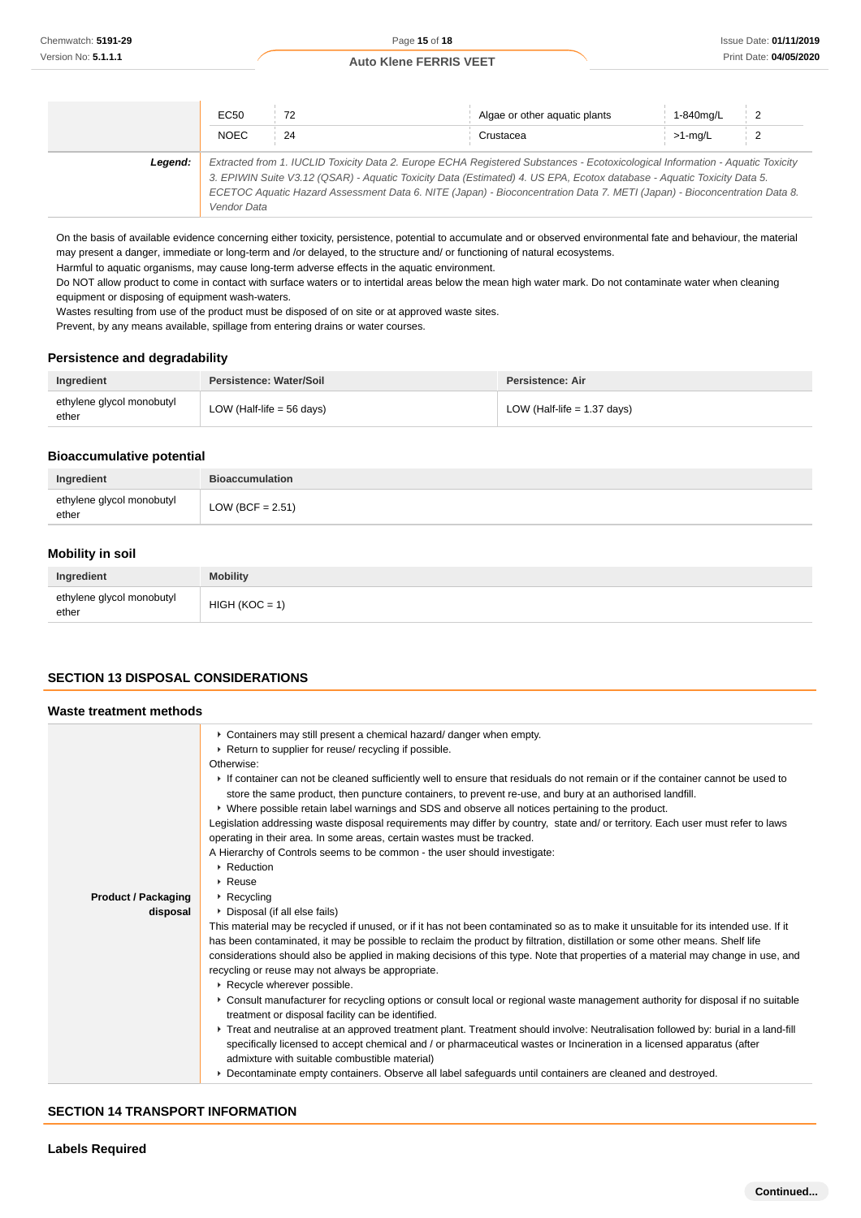|         | EC50                                                                                                                                                                                                                                                                                                                                                                                               | 72 | Algae or other aguatic plants | 1-840mg/L  | $\overline{2}$ |
|---------|----------------------------------------------------------------------------------------------------------------------------------------------------------------------------------------------------------------------------------------------------------------------------------------------------------------------------------------------------------------------------------------------------|----|-------------------------------|------------|----------------|
|         | <b>NOEC</b>                                                                                                                                                                                                                                                                                                                                                                                        | 24 | Crustacea                     | $>1$ -mg/L | $\frac{1}{2}$  |
| Leaend: | Extracted from 1. IUCLID Toxicity Data 2. Europe ECHA Registered Substances - Ecotoxicological Information - Aquatic Toxicity<br>3. EPIWIN Suite V3.12 (QSAR) - Aquatic Toxicity Data (Estimated) 4. US EPA, Ecotox database - Aquatic Toxicity Data 5.<br>ECETOC Aquatic Hazard Assessment Data 6. NITE (Japan) - Bioconcentration Data 7. METI (Japan) - Bioconcentration Data 8.<br>Vendor Data |    |                               |            |                |

On the basis of available evidence concerning either toxicity, persistence, potential to accumulate and or observed environmental fate and behaviour, the material may present a danger, immediate or long-term and /or delayed, to the structure and/ or functioning of natural ecosystems.

Harmful to aquatic organisms, may cause long-term adverse effects in the aquatic environment.

Do NOT allow product to come in contact with surface waters or to intertidal areas below the mean high water mark. Do not contaminate water when cleaning equipment or disposing of equipment wash-waters.

Wastes resulting from use of the product must be disposed of on site or at approved waste sites.

Prevent, by any means available, spillage from entering drains or water courses.

### **Persistence and degradability**

| Ingredient                         | Persistence: Water/Soil     | Persistence: Air              |
|------------------------------------|-----------------------------|-------------------------------|
| ethylene glycol monobutyl<br>ether | LOW (Half-life $=$ 56 days) | LOW (Half-life $= 1.37$ days) |

# **Bioaccumulative potential**

| Ingredient                         | <b>Bioaccumulation</b> |
|------------------------------------|------------------------|
| ethylene glycol monobutyl<br>ether | LOW (BCF = $2.51$ )    |

### **Mobility in soil**

| Ingredient                         | <b>Mobility</b>  |
|------------------------------------|------------------|
| ethylene glycol monobutyl<br>ether | $HIGH (KOC = 1)$ |

# **SECTION 13 DISPOSAL CONSIDERATIONS**

### **Waste treatment methods**

|                            | Containers may still present a chemical hazard/ danger when empty.<br>▶ Return to supplier for reuse/ recycling if possible.<br>Otherwise:<br>If container can not be cleaned sufficiently well to ensure that residuals do not remain or if the container cannot be used to<br>store the same product, then puncture containers, to prevent re-use, and bury at an authorised landfill.                                                                                                    |
|----------------------------|---------------------------------------------------------------------------------------------------------------------------------------------------------------------------------------------------------------------------------------------------------------------------------------------------------------------------------------------------------------------------------------------------------------------------------------------------------------------------------------------|
|                            | ▶ Where possible retain label warnings and SDS and observe all notices pertaining to the product.<br>Legislation addressing waste disposal requirements may differ by country, state and/ or territory. Each user must refer to laws<br>operating in their area. In some areas, certain wastes must be tracked.                                                                                                                                                                             |
|                            | A Hierarchy of Controls seems to be common - the user should investigate:<br>▶ Reduction                                                                                                                                                                                                                                                                                                                                                                                                    |
|                            | $\triangleright$ Reuse                                                                                                                                                                                                                                                                                                                                                                                                                                                                      |
| <b>Product / Packaging</b> | $\triangleright$ Recycling                                                                                                                                                                                                                                                                                                                                                                                                                                                                  |
| disposal                   | • Disposal (if all else fails)                                                                                                                                                                                                                                                                                                                                                                                                                                                              |
|                            | This material may be recycled if unused, or if it has not been contaminated so as to make it unsuitable for its intended use. If it<br>has been contaminated, it may be possible to reclaim the product by filtration, distillation or some other means. Shelf life<br>considerations should also be applied in making decisions of this type. Note that properties of a material may change in use, and<br>recycling or reuse may not always be appropriate.<br>Recycle wherever possible. |
|                            | ▶ Consult manufacturer for recycling options or consult local or regional waste management authority for disposal if no suitable<br>treatment or disposal facility can be identified.                                                                                                                                                                                                                                                                                                       |
|                            | Freat and neutralise at an approved treatment plant. Treatment should involve: Neutralisation followed by: burial in a land-fill<br>specifically licensed to accept chemical and / or pharmaceutical wastes or Incineration in a licensed apparatus (after<br>admixture with suitable combustible material)                                                                                                                                                                                 |
|                            | ▶ Decontaminate empty containers. Observe all label safeguards until containers are cleaned and destroyed.                                                                                                                                                                                                                                                                                                                                                                                  |

### **SECTION 14 TRANSPORT INFORMATION**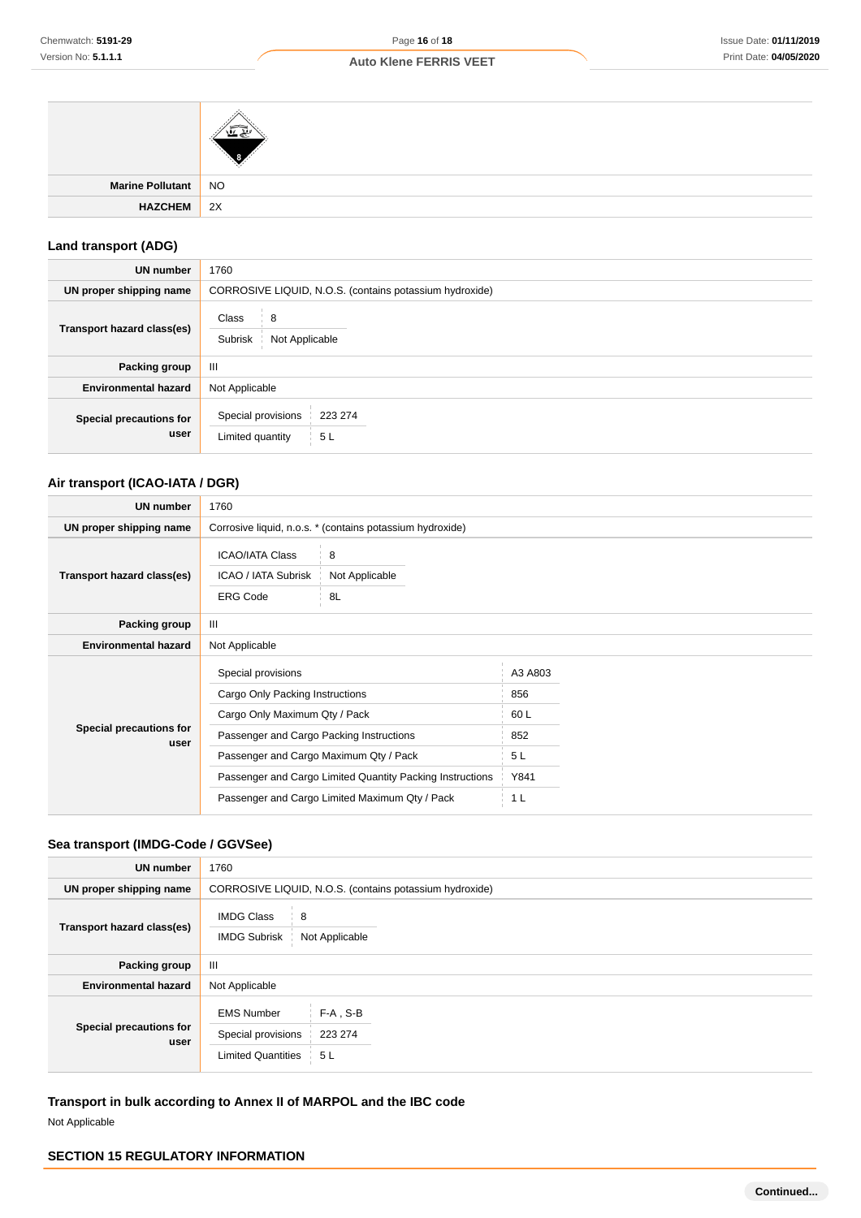| Marine Pollutant NO |  |
|---------------------|--|
| $HAZCHEM$ 2X        |  |

# **Land transport (ADG)**

| <b>UN number</b>                | 1760                                                    |
|---------------------------------|---------------------------------------------------------|
| UN proper shipping name         | CORROSIVE LIQUID, N.O.S. (contains potassium hydroxide) |
| Transport hazard class(es)      | Class<br>$\frac{1}{2}$ 8<br>Not Applicable<br>Subrisk i |
| Packing group                   | Ш                                                       |
| <b>Environmental hazard</b>     | Not Applicable                                          |
| Special precautions for<br>user | Special provisions<br>223 274<br>5L<br>Limited quantity |

# **Air transport (ICAO-IATA / DGR)**

| <b>UN number</b>                | 1760                                                                                          |                |  |
|---------------------------------|-----------------------------------------------------------------------------------------------|----------------|--|
| UN proper shipping name         | Corrosive liquid, n.o.s. * (contains potassium hydroxide)                                     |                |  |
| Transport hazard class(es)      | <b>ICAO/IATA Class</b><br>8<br>ICAO / IATA Subrisk<br>Not Applicable<br><b>ERG Code</b><br>8L |                |  |
| Packing group                   | Ш                                                                                             |                |  |
| <b>Environmental hazard</b>     | Not Applicable                                                                                |                |  |
| Special precautions for<br>user | Special provisions                                                                            | A3 A803        |  |
|                                 | Cargo Only Packing Instructions                                                               | 856            |  |
|                                 | Cargo Only Maximum Qty / Pack                                                                 | 60 L           |  |
|                                 | Passenger and Cargo Packing Instructions                                                      | 852            |  |
|                                 | Passenger and Cargo Maximum Qty / Pack                                                        | 5 L            |  |
|                                 | Passenger and Cargo Limited Quantity Packing Instructions                                     | Y841           |  |
|                                 | Passenger and Cargo Limited Maximum Qty / Pack                                                | 1 <sub>L</sub> |  |

# **Sea transport (IMDG-Code / GGVSee)**

| <b>UN number</b>                       | 1760                                                                 |                                          |  |  |
|----------------------------------------|----------------------------------------------------------------------|------------------------------------------|--|--|
| UN proper shipping name                | CORROSIVE LIQUID, N.O.S. (contains potassium hydroxide)              |                                          |  |  |
| Transport hazard class(es)             | <b>IMDG Class</b><br>8<br><b>IMDG Subrisk</b><br>Not Applicable      |                                          |  |  |
| Packing group                          | Ш                                                                    |                                          |  |  |
| <b>Environmental hazard</b>            | Not Applicable                                                       |                                          |  |  |
| <b>Special precautions for</b><br>user | <b>EMS Number</b><br>Special provisions<br><b>Limited Quantities</b> | $F-A$ , S-B<br>223 274<br>5 <sub>L</sub> |  |  |

**Transport in bulk according to Annex II of MARPOL and the IBC code**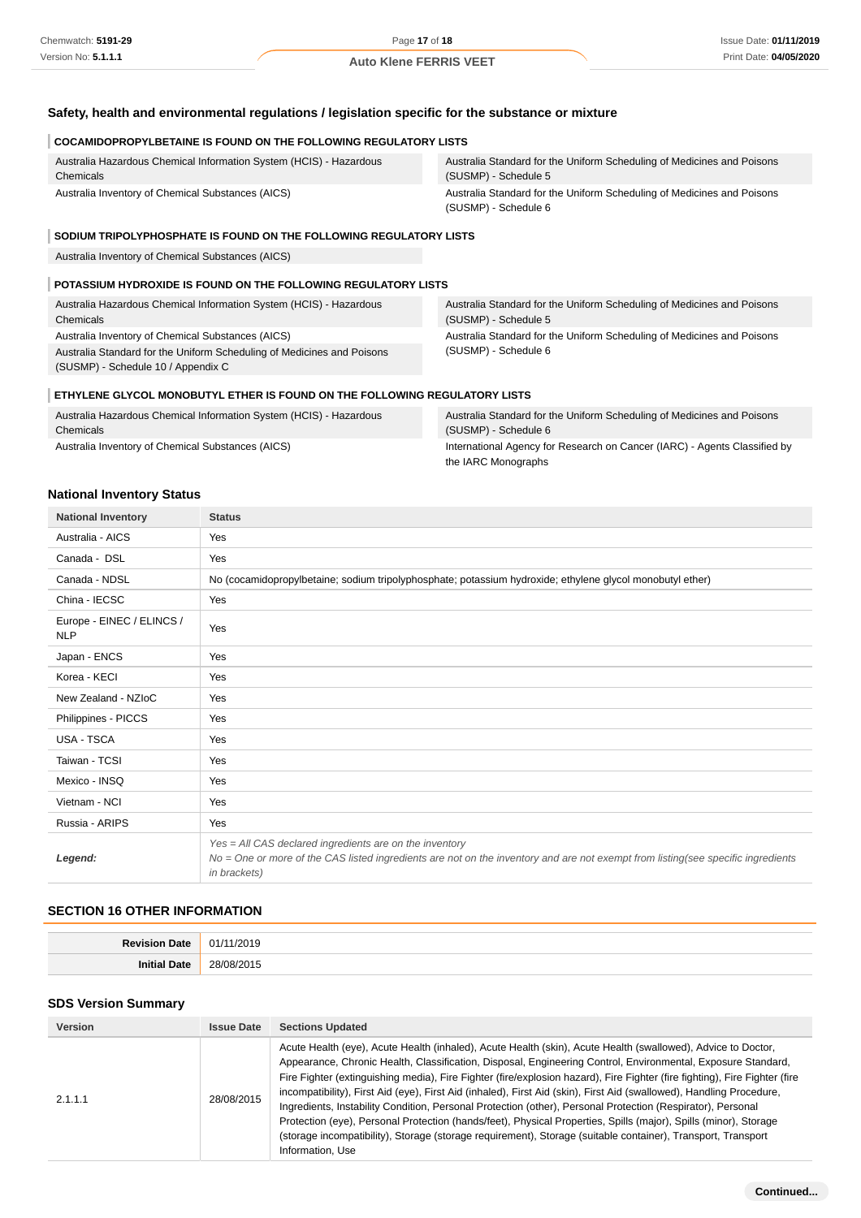# **Safety, health and environmental regulations / legislation specific for the substance or mixture**

# **COCAMIDOPROPYLBETAINE IS FOUND ON THE FOLLOWING REGULATORY LISTS**

| Australia Hazardous Chemical Information System (HCIS) - Hazardous | Australia Standard for the Uniform Scheduling of Medicines and Poisons                         |
|--------------------------------------------------------------------|------------------------------------------------------------------------------------------------|
| Chemicals                                                          | (SUSMP) - Schedule 5                                                                           |
| Australia Inventory of Chemical Substances (AICS)                  | Australia Standard for the Uniform Scheduling of Medicines and Poisons<br>(SUSMP) - Schedule 6 |

### **SODIUM TRIPOLYPHOSPHATE IS FOUND ON THE FOLLOWING REGULATORY LISTS**

Australia Inventory of Chemical Substances (AICS)

### **POTASSIUM HYDROXIDE IS FOUND ON THE FOLLOWING REGULATORY LISTS**

| Australia Hazardous Chemical Information System (HCIS) - Hazardous                                                                                                | Australia Standard for the Uniform Scheduling of Medicines and Poisons                         |
|-------------------------------------------------------------------------------------------------------------------------------------------------------------------|------------------------------------------------------------------------------------------------|
| Chemicals                                                                                                                                                         | (SUSMP) - Schedule 5                                                                           |
| Australia Inventory of Chemical Substances (AICS)<br>Australia Standard for the Uniform Scheduling of Medicines and Poisons<br>(SUSMP) - Schedule 10 / Appendix C | Australia Standard for the Uniform Scheduling of Medicines and Poisons<br>(SUSMP) - Schedule 6 |

### **ETHYLENE GLYCOL MONOBUTYL ETHER IS FOUND ON THE FOLLOWING REGULATORY LISTS**

| Australia Hazardous Chemical Information System (HCIS) - Hazardous | Australia Standard for the Uniform Scheduling of Medicines and Poisons    |
|--------------------------------------------------------------------|---------------------------------------------------------------------------|
| Chemicals                                                          | (SUSMP) - Schedule 6                                                      |
| Australia Inventory of Chemical Substances (AICS)                  | International Agency for Research on Cancer (IARC) - Agents Classified by |
|                                                                    | the IARC Monographs                                                       |

### **National Inventory Status**

| <b>National Inventory</b>               | <b>Status</b>                                                                                                                                                                                                       |  |
|-----------------------------------------|---------------------------------------------------------------------------------------------------------------------------------------------------------------------------------------------------------------------|--|
| Australia - AICS                        | Yes                                                                                                                                                                                                                 |  |
| Canada - DSL                            | Yes                                                                                                                                                                                                                 |  |
| Canada - NDSL                           | No (cocamidopropylbetaine; sodium tripolyphosphate; potassium hydroxide; ethylene glycol monobutyl ether)                                                                                                           |  |
| China - IECSC                           | Yes                                                                                                                                                                                                                 |  |
| Europe - EINEC / ELINCS /<br><b>NLP</b> | Yes                                                                                                                                                                                                                 |  |
| Japan - ENCS                            | Yes                                                                                                                                                                                                                 |  |
| Korea - KECI                            | Yes                                                                                                                                                                                                                 |  |
| New Zealand - NZIoC                     | Yes                                                                                                                                                                                                                 |  |
| Philippines - PICCS                     | Yes                                                                                                                                                                                                                 |  |
| USA - TSCA                              | Yes                                                                                                                                                                                                                 |  |
| Taiwan - TCSI                           | Yes                                                                                                                                                                                                                 |  |
| Mexico - INSQ                           | Yes                                                                                                                                                                                                                 |  |
| Vietnam - NCI                           | Yes                                                                                                                                                                                                                 |  |
| Russia - ARIPS                          | Yes                                                                                                                                                                                                                 |  |
| Legend:                                 | Yes = All CAS declared ingredients are on the inventory<br>No = One or more of the CAS listed ingredients are not on the inventory and are not exempt from listing(see specific ingredients<br><i>in brackets</i> ) |  |

# **SECTION 16 OTHER INFORMATION**

| <b>Revision Date</b> | 01/11/2019 |
|----------------------|------------|
| <b>Initial Date</b>  | 28/08/2015 |

# **SDS Version Summary**

| Version | <b>Issue Date</b> | <b>Sections Updated</b>                                                                                                                                                                                                                                                                                                                                                                                                                                                                                                                                                                                                                                                                                                                                                                                                                                   |
|---------|-------------------|-----------------------------------------------------------------------------------------------------------------------------------------------------------------------------------------------------------------------------------------------------------------------------------------------------------------------------------------------------------------------------------------------------------------------------------------------------------------------------------------------------------------------------------------------------------------------------------------------------------------------------------------------------------------------------------------------------------------------------------------------------------------------------------------------------------------------------------------------------------|
| 2.1.1.1 | 28/08/2015        | Acute Health (eye), Acute Health (inhaled), Acute Health (skin), Acute Health (swallowed), Advice to Doctor,<br>Appearance, Chronic Health, Classification, Disposal, Engineering Control, Environmental, Exposure Standard,<br>Fire Fighter (extinguishing media), Fire Fighter (fire/explosion hazard), Fire Fighter (fire fighting), Fire Fighter (fire<br>incompatibility), First Aid (eye), First Aid (inhaled), First Aid (skin), First Aid (swallowed), Handling Procedure,<br>Ingredients, Instability Condition, Personal Protection (other), Personal Protection (Respirator), Personal<br>Protection (eye), Personal Protection (hands/feet), Physical Properties, Spills (major), Spills (minor), Storage<br>(storage incompatibility), Storage (storage requirement), Storage (suitable container), Transport, Transport<br>Information, Use |